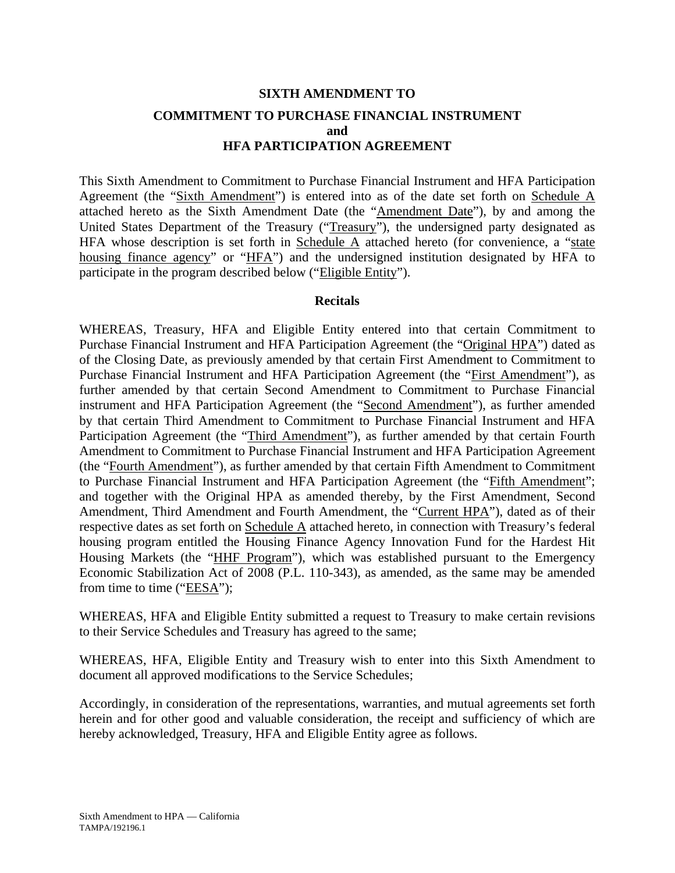## **SIXTH AMENDMENT TO COMMITMENT TO PURCHASE FINANCIAL INSTRUMENT and HFA PARTICIPATION AGREEMENT**

This Sixth Amendment to Commitment to Purchase Financial Instrument and HFA Participation Agreement (the "Sixth Amendment") is entered into as of the date set forth on Schedule A attached hereto as the Sixth Amendment Date (the "Amendment Date"), by and among the United States Department of the Treasury ("Treasury"), the undersigned party designated as HFA whose description is set forth in Schedule  $\overline{A}$  attached hereto (for convenience, a "state housing finance agency" or "HFA") and the undersigned institution designated by HFA to participate in the program described below ("Eligible Entity").

#### **Recitals**

WHEREAS, Treasury, HFA and Eligible Entity entered into that certain Commitment to Purchase Financial Instrument and HFA Participation Agreement (the "Original HPA") dated as of the Closing Date, as previously amended by that certain First Amendment to Commitment to Purchase Financial Instrument and HFA Participation Agreement (the "First Amendment"), as further amended by that certain Second Amendment to Commitment to Purchase Financial instrument and HFA Participation Agreement (the "Second Amendment"), as further amended by that certain Third Amendment to Commitment to Purchase Financial Instrument and HFA Participation Agreement (the "Third Amendment"), as further amended by that certain Fourth Amendment to Commitment to Purchase Financial Instrument and HFA Participation Agreement (the "Fourth Amendment"), as further amended by that certain Fifth Amendment to Commitment to Purchase Financial Instrument and HFA Participation Agreement (the "Fifth Amendment"; and together with the Original HPA as amended thereby, by the First Amendment, Second Amendment, Third Amendment and Fourth Amendment, the "Current HPA"), dated as of their respective dates as set forth on Schedule A attached hereto, in connection with Treasury's federal housing program entitled the Housing Finance Agency Innovation Fund for the Hardest Hit Housing Markets (the "HHF Program"), which was established pursuant to the Emergency Economic Stabilization Act of 2008 (P.L. 110-343), as amended, as the same may be amended from time to time ("EESA");

WHEREAS, HFA and Eligible Entity submitted a request to Treasury to make certain revisions to their Service Schedules and Treasury has agreed to the same;

WHEREAS, HFA, Eligible Entity and Treasury wish to enter into this Sixth Amendment to document all approved modifications to the Service Schedules;

Accordingly, in consideration of the representations, warranties, and mutual agreements set forth herein and for other good and valuable consideration, the receipt and sufficiency of which are hereby acknowledged, Treasury, HFA and Eligible Entity agree as follows.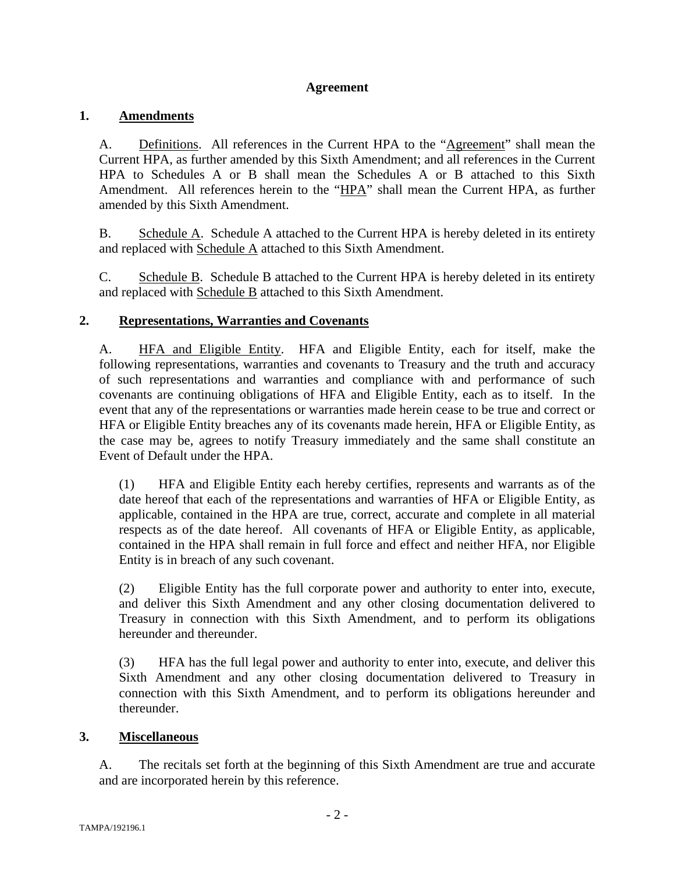#### **Agreement**

#### **1. Amendments**

A. Definitions. All references in the Current HPA to the "Agreement" shall mean the Current HPA, as further amended by this Sixth Amendment; and all references in the Current HPA to Schedules A or B shall mean the Schedules A or B attached to this Sixth Amendment. All references herein to the "HPA" shall mean the Current HPA, as further amended by this Sixth Amendment.

B. Schedule A. Schedule A attached to the Current HPA is hereby deleted in its entirety and replaced with Schedule A attached to this Sixth Amendment.

C. Schedule B. Schedule B attached to the Current HPA is hereby deleted in its entirety and replaced with Schedule B attached to this Sixth Amendment.

## **2. Representations, Warranties and Covenants**

A. HFA and Eligible Entity. HFA and Eligible Entity, each for itself, make the following representations, warranties and covenants to Treasury and the truth and accuracy of such representations and warranties and compliance with and performance of such covenants are continuing obligations of HFA and Eligible Entity, each as to itself. In the event that any of the representations or warranties made herein cease to be true and correct or HFA or Eligible Entity breaches any of its covenants made herein, HFA or Eligible Entity, as the case may be, agrees to notify Treasury immediately and the same shall constitute an Event of Default under the HPA.

(1) HFA and Eligible Entity each hereby certifies, represents and warrants as of the date hereof that each of the representations and warranties of HFA or Eligible Entity, as applicable, contained in the HPA are true, correct, accurate and complete in all material respects as of the date hereof. All covenants of HFA or Eligible Entity, as applicable, contained in the HPA shall remain in full force and effect and neither HFA, nor Eligible Entity is in breach of any such covenant.

(2) Eligible Entity has the full corporate power and authority to enter into, execute, and deliver this Sixth Amendment and any other closing documentation delivered to Treasury in connection with this Sixth Amendment, and to perform its obligations hereunder and thereunder.

(3) HFA has the full legal power and authority to enter into, execute, and deliver this Sixth Amendment and any other closing documentation delivered to Treasury in connection with this Sixth Amendment, and to perform its obligations hereunder and thereunder.

#### **3. Miscellaneous**

A. The recitals set forth at the beginning of this Sixth Amendment are true and accurate and are incorporated herein by this reference.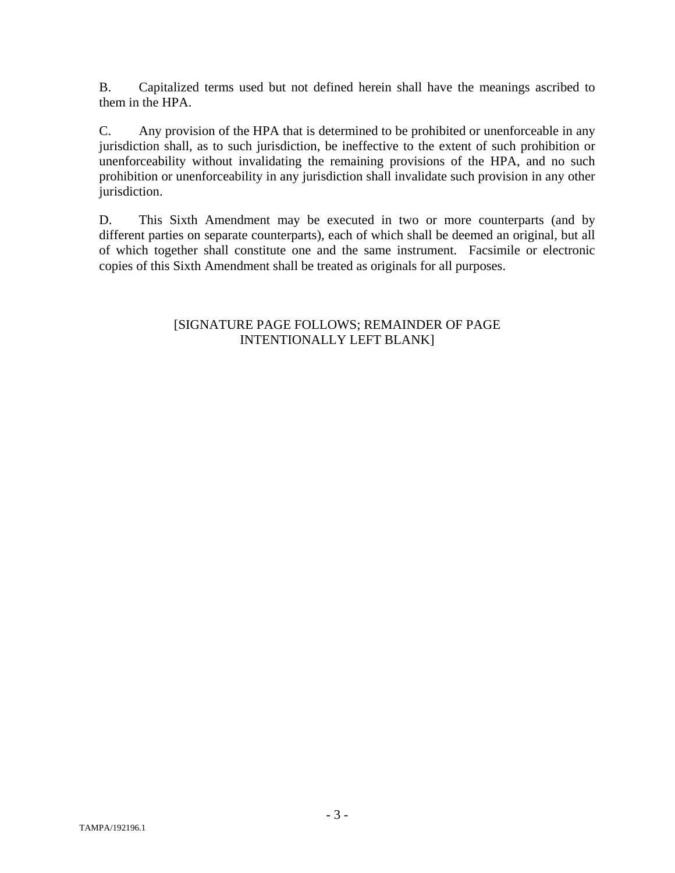B. Capitalized terms used but not defined herein shall have the meanings ascribed to them in the HPA.

C. Any provision of the HPA that is determined to be prohibited or unenforceable in any jurisdiction shall, as to such jurisdiction, be ineffective to the extent of such prohibition or unenforceability without invalidating the remaining provisions of the HPA, and no such prohibition or unenforceability in any jurisdiction shall invalidate such provision in any other jurisdiction.

D. This Sixth Amendment may be executed in two or more counterparts (and by different parties on separate counterparts), each of which shall be deemed an original, but all of which together shall constitute one and the same instrument. Facsimile or electronic copies of this Sixth Amendment shall be treated as originals for all purposes.

#### [SIGNATURE PAGE FOLLOWS; REMAINDER OF PAGE INTENTIONALLY LEFT BLANK]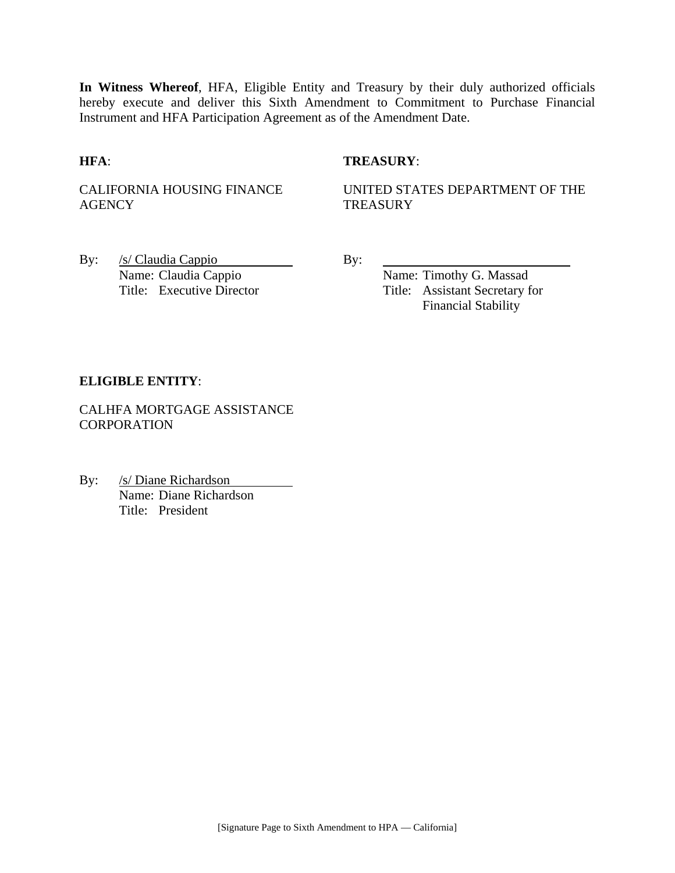**In Witness Whereof**, HFA, Eligible Entity and Treasury by their duly authorized officials hereby execute and deliver this Sixth Amendment to Commitment to Purchase Financial Instrument and HFA Participation Agreement as of the Amendment Date.

#### **HFA**: **TREASURY**:

CALIFORNIA HOUSING FINANCE **AGENCY** 

UNITED STATES DEPARTMENT OF THE **TREASURY** 

By: <u>/s/ Claudia Cappio</u> By: Name: Claudia Cappio By:

Name: Timothy G. Massad Title: Executive Director Title: Assistant Secretary for Financial Stability

#### **ELIGIBLE ENTITY**:

CALHFA MORTGAGE ASSISTANCE **CORPORATION** 

By: /s/ Diane Richardson Name: Diane Richardson Title: President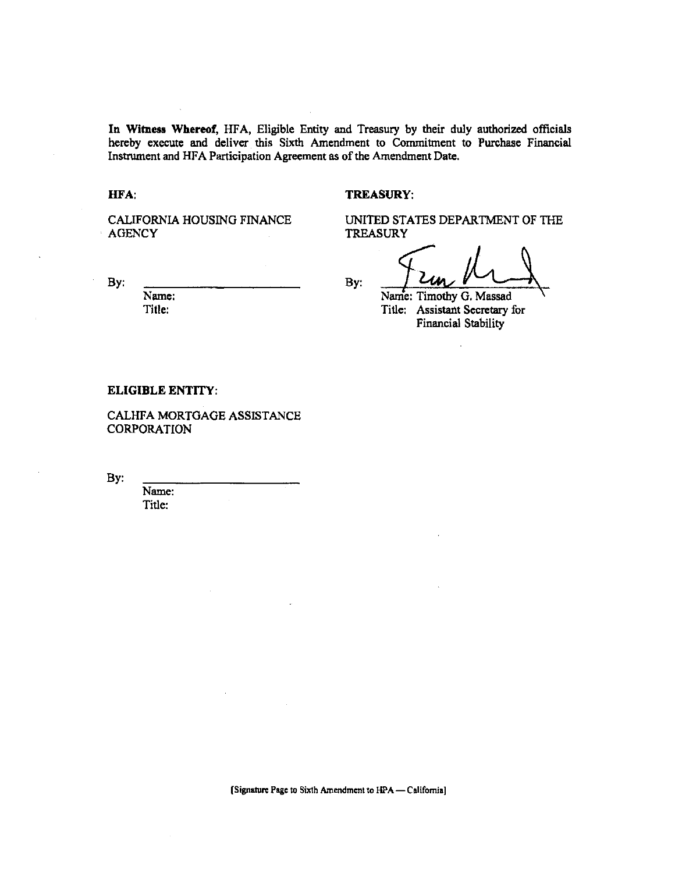In Witness Whereof, HFA, Eligible Entity and Treasury by their duly authorized officials hereby execute and deliver this Sixth Amendment to Commitment to Purchase Financial Instrument and HFA Participation Agreement as of the Amendment Date.

HFA:

#### **TREASURY:**

CALIFORNIA HOUSING FINANCE **AGENCY** 

By:

Name: Title:

UNITED STATES DEPARTMENT OF THE **TREASURY** 

By:

Name: Timothy G. Massad

Title: Assistant Secretary for **Financial Stability** 

#### **ELIGIBLE ENTITY:**

CALHFA MORTGAGE ASSISTANCE **CORPORATION** 

By.

Name: Title:

[Signature Page to Sixth Amendment to HPA - California]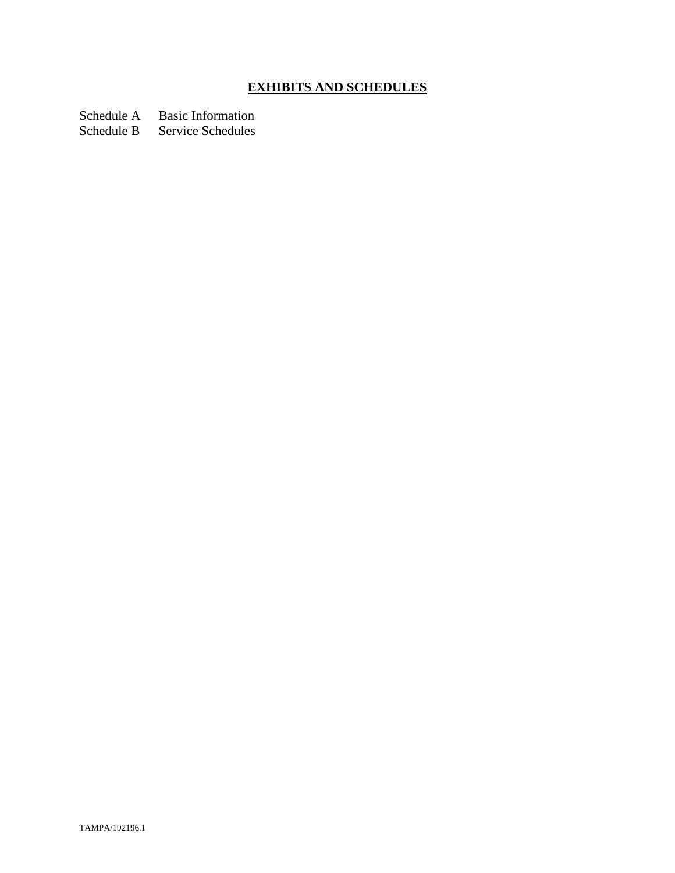# **EXHIBITS AND SCHEDULES**

Schedule A Basic Information

Schedule B Service Schedules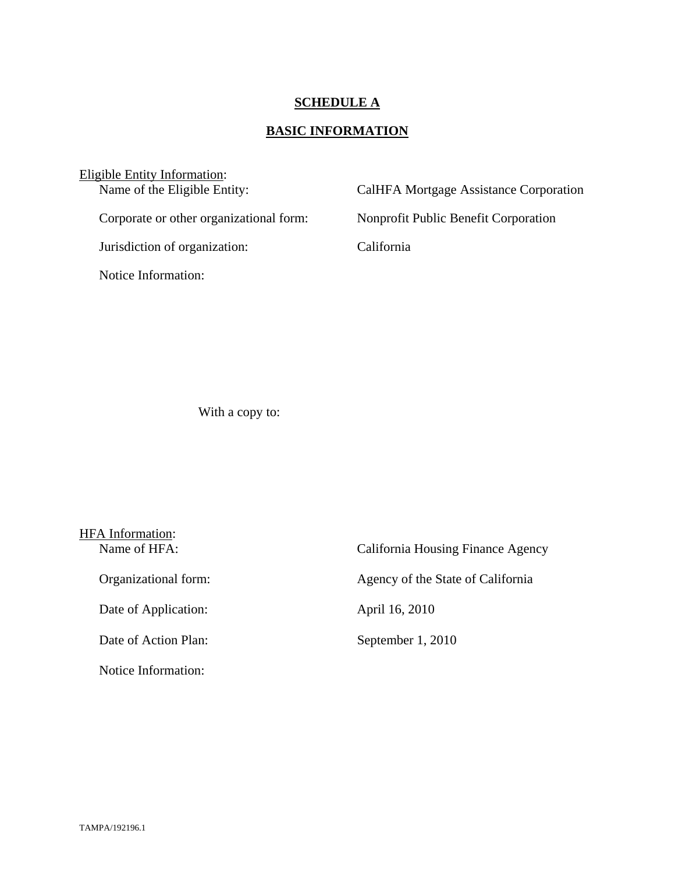## **SCHEDULE A**

# **BASIC INFORMATION**

| Eligible Entity Information:            |                                        |  |  |
|-----------------------------------------|----------------------------------------|--|--|
| Name of the Eligible Entity:            | CalHFA Mortgage Assistance Corporation |  |  |
| Corporate or other organizational form: | Nonprofit Public Benefit Corporation   |  |  |
| Jurisdiction of organization:           | California                             |  |  |
| Notice Information:                     |                                        |  |  |
|                                         |                                        |  |  |

With a copy to:

| HFA Information:     |                                   |  |
|----------------------|-----------------------------------|--|
| Name of HFA:         | California Housing Finance Agency |  |
| Organizational form: | Agency of the State of California |  |
| Date of Application: | April 16, 2010                    |  |
| Date of Action Plan: | September 1, 2010                 |  |
| Notice Information:  |                                   |  |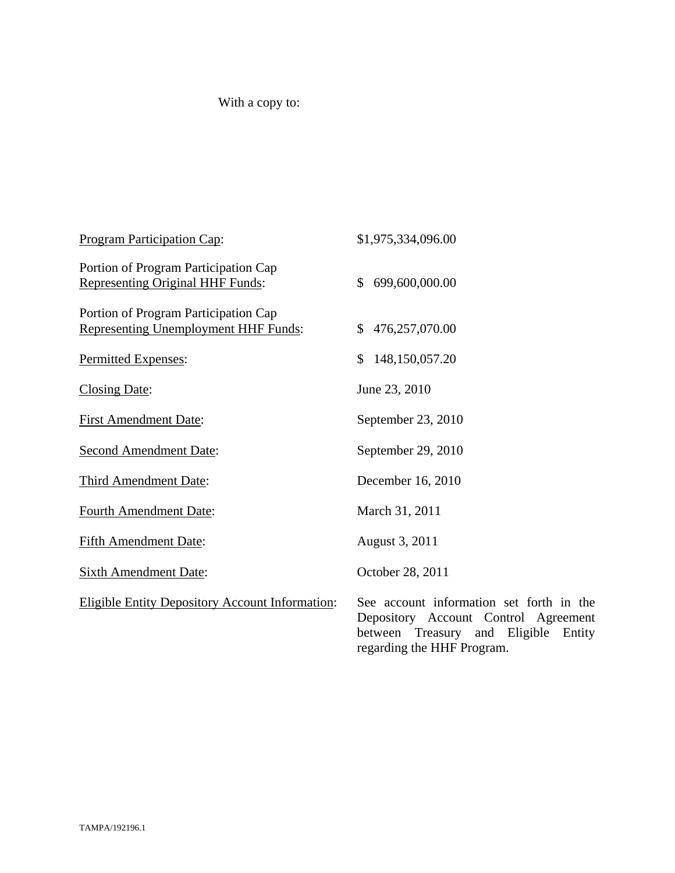# With a copy to:

| <b>Program Participation Cap:</b>                                               | \$1,975,334,096.00                                                                                                                                        |
|---------------------------------------------------------------------------------|-----------------------------------------------------------------------------------------------------------------------------------------------------------|
| Portion of Program Participation Cap<br><b>Representing Original HHF Funds:</b> | 699,600,000.00<br>\$                                                                                                                                      |
| Portion of Program Participation Cap<br>Representing Unemployment HHF Funds:    | 476,257,070.00<br>\$                                                                                                                                      |
| Permitted Expenses:                                                             | \$<br>148,150,057.20                                                                                                                                      |
| <b>Closing Date:</b>                                                            | June 23, 2010                                                                                                                                             |
| <b>First Amendment Date:</b>                                                    | September 23, 2010                                                                                                                                        |
| <b>Second Amendment Date:</b>                                                   | September 29, 2010                                                                                                                                        |
| Third Amendment Date:                                                           | December 16, 2010                                                                                                                                         |
| <b>Fourth Amendment Date:</b>                                                   | March 31, 2011                                                                                                                                            |
| <b>Fifth Amendment Date:</b>                                                    | August 3, 2011                                                                                                                                            |
| <b>Sixth Amendment Date:</b>                                                    | October 28, 2011                                                                                                                                          |
| <b>Eligible Entity Depository Account Information:</b>                          | See account information set forth in the<br>Depository Account Control Agreement<br>between Treasury and Eligible<br>Entity<br>regarding the HHF Program. |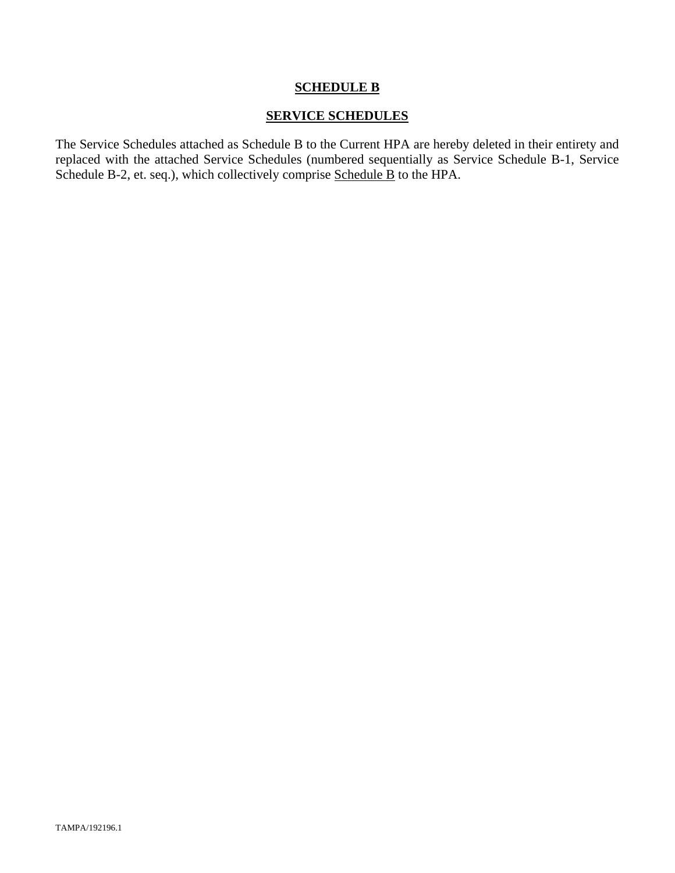#### **SERVICE SCHEDULES**

The Service Schedules attached as Schedule B to the Current HPA are hereby deleted in their entirety and replaced with the attached Service Schedules (numbered sequentially as Service Schedule B-1, Service Schedule B-2, et. seq.), which collectively comprise Schedule B to the HPA.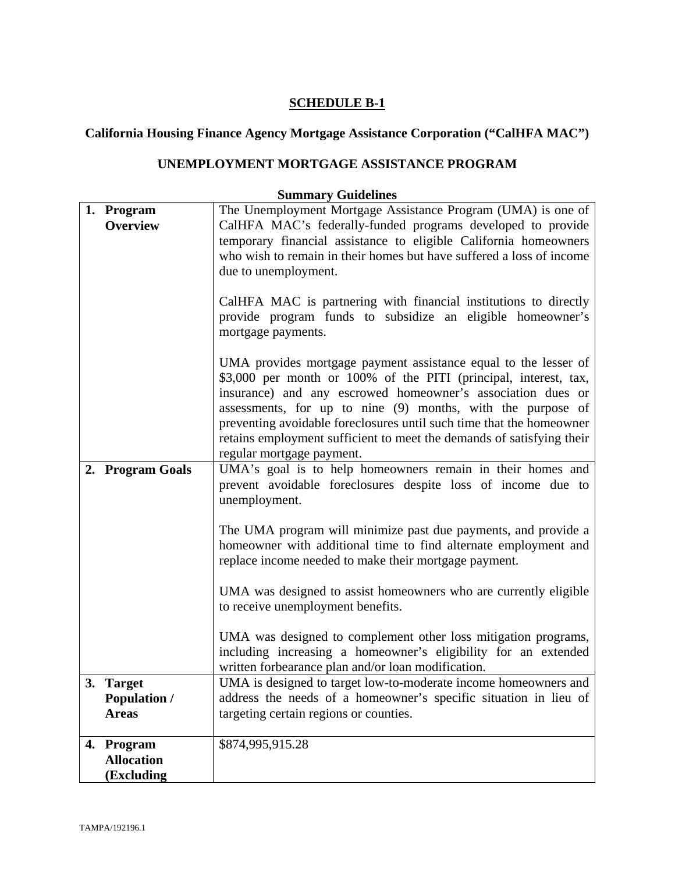## **California Housing Finance Agency Mortgage Assistance Corporation ("CalHFA MAC")**

## **UNEMPLOYMENT MORTGAGE ASSISTANCE PROGRAM**

| 1. Program          | The Unemployment Mortgage Assistance Program (UMA) is one of          |
|---------------------|-----------------------------------------------------------------------|
| Overview            | CalHFA MAC's federally-funded programs developed to provide           |
|                     | temporary financial assistance to eligible California homeowners      |
|                     | who wish to remain in their homes but have suffered a loss of income  |
|                     | due to unemployment.                                                  |
|                     |                                                                       |
|                     | CalHFA MAC is partnering with financial institutions to directly      |
|                     | provide program funds to subsidize an eligible homeowner's            |
|                     | mortgage payments.                                                    |
|                     |                                                                       |
|                     | UMA provides mortgage payment assistance equal to the lesser of       |
|                     | \$3,000 per month or 100% of the PITI (principal, interest, tax,      |
|                     | insurance) and any escrowed homeowner's association dues or           |
|                     | assessments, for up to nine (9) months, with the purpose of           |
|                     | preventing avoidable foreclosures until such time that the homeowner  |
|                     | retains employment sufficient to meet the demands of satisfying their |
|                     | regular mortgage payment.                                             |
| 2. Program Goals    | UMA's goal is to help homeowners remain in their homes and            |
|                     | prevent avoidable foreclosures despite loss of income due to          |
|                     | unemployment.                                                         |
|                     |                                                                       |
|                     | The UMA program will minimize past due payments, and provide a        |
|                     | homeowner with additional time to find alternate employment and       |
|                     | replace income needed to make their mortgage payment.                 |
|                     |                                                                       |
|                     | UMA was designed to assist homeowners who are currently eligible      |
|                     | to receive unemployment benefits.                                     |
|                     |                                                                       |
|                     | UMA was designed to complement other loss mitigation programs,        |
|                     | including increasing a homeowner's eligibility for an extended        |
|                     | written forbearance plan and/or loan modification.                    |
| 3. Target           | UMA is designed to target low-to-moderate income homeowners and       |
| <b>Population /</b> | address the needs of a homeowner's specific situation in lieu of      |
| <b>Areas</b>        | targeting certain regions or counties.                                |
|                     |                                                                       |
| 4. Program          | \$874,995,915.28                                                      |
| <b>Allocation</b>   |                                                                       |
| (Excluding          |                                                                       |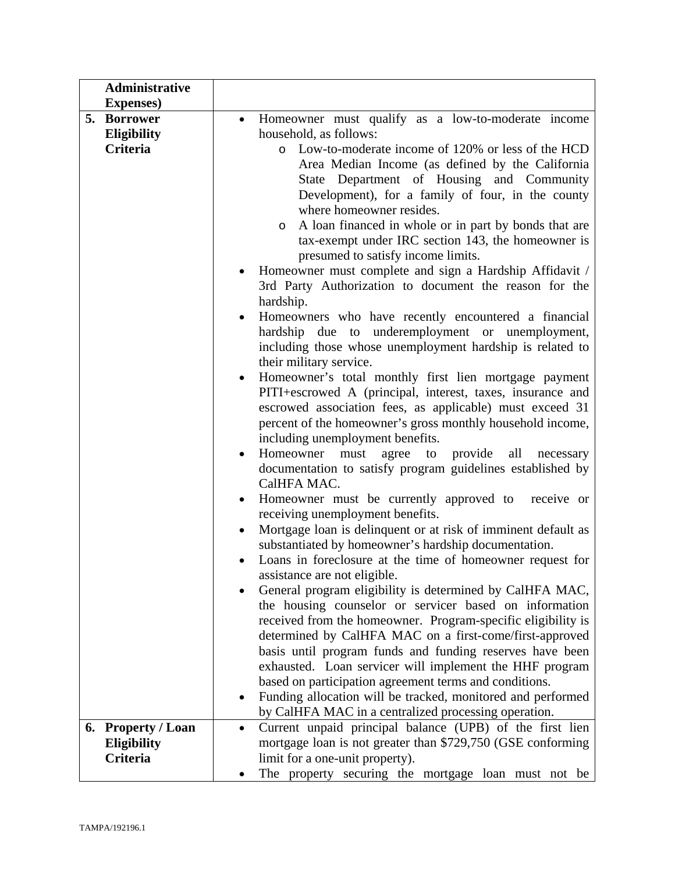| <b>Administrative</b>                              |                                                                                                                   |
|----------------------------------------------------|-------------------------------------------------------------------------------------------------------------------|
| <b>Expenses</b> )                                  |                                                                                                                   |
| 5.<br><b>Borrower</b>                              | Homeowner must qualify as a low-to-moderate income                                                                |
| Eligibility                                        | household, as follows:                                                                                            |
| Criteria                                           | o Low-to-moderate income of 120% or less of the HCD                                                               |
|                                                    | Area Median Income (as defined by the California                                                                  |
|                                                    | State Department of Housing and Community                                                                         |
|                                                    | Development), for a family of four, in the county                                                                 |
|                                                    | where homeowner resides.                                                                                          |
|                                                    | A loan financed in whole or in part by bonds that are<br>$\circ$                                                  |
|                                                    | tax-exempt under IRC section 143, the homeowner is                                                                |
|                                                    | presumed to satisfy income limits.                                                                                |
|                                                    | Homeowner must complete and sign a Hardship Affidavit /                                                           |
|                                                    | 3rd Party Authorization to document the reason for the                                                            |
|                                                    | hardship.                                                                                                         |
|                                                    | Homeowners who have recently encountered a financial                                                              |
|                                                    | to underemployment or unemployment,<br>hardship<br>due                                                            |
|                                                    | including those whose unemployment hardship is related to                                                         |
|                                                    | their military service.                                                                                           |
|                                                    | Homeowner's total monthly first lien mortgage payment                                                             |
|                                                    | PITI+escrowed A (principal, interest, taxes, insurance and                                                        |
|                                                    | escrowed association fees, as applicable) must exceed 31                                                          |
|                                                    | percent of the homeowner's gross monthly household income,                                                        |
|                                                    | including unemployment benefits.                                                                                  |
|                                                    | Homeowner<br>provide<br>all<br>must<br>agree<br>to<br>necessary                                                   |
|                                                    | documentation to satisfy program guidelines established by                                                        |
|                                                    | CalHFA MAC.                                                                                                       |
|                                                    | Homeowner must be currently approved to receive or<br>$\bullet$                                                   |
|                                                    | receiving unemployment benefits.                                                                                  |
|                                                    | Mortgage loan is delinquent or at risk of imminent default as                                                     |
|                                                    | substantiated by homeowner's hardship documentation.                                                              |
|                                                    | Loans in foreclosure at the time of homeowner request for                                                         |
|                                                    | assistance are not eligible.                                                                                      |
|                                                    | General program eligibility is determined by CalHFA MAC,                                                          |
|                                                    | the housing counselor or servicer based on information                                                            |
|                                                    | received from the homeowner. Program-specific eligibility is                                                      |
|                                                    | determined by CalHFA MAC on a first-come/first-approved                                                           |
|                                                    | basis until program funds and funding reserves have been                                                          |
|                                                    | exhausted. Loan servicer will implement the HHF program<br>based on participation agreement terms and conditions. |
|                                                    |                                                                                                                   |
|                                                    | Funding allocation will be tracked, monitored and performed                                                       |
|                                                    | by CalHFA MAC in a centralized processing operation.<br>Current unpaid principal balance (UPB) of the first lien  |
| <b>Property / Loan</b><br>6.<br><b>Eligibility</b> |                                                                                                                   |
| Criteria                                           | mortgage loan is not greater than \$729,750 (GSE conforming<br>limit for a one-unit property).                    |
|                                                    |                                                                                                                   |
|                                                    | The property securing the mortgage loan must not be                                                               |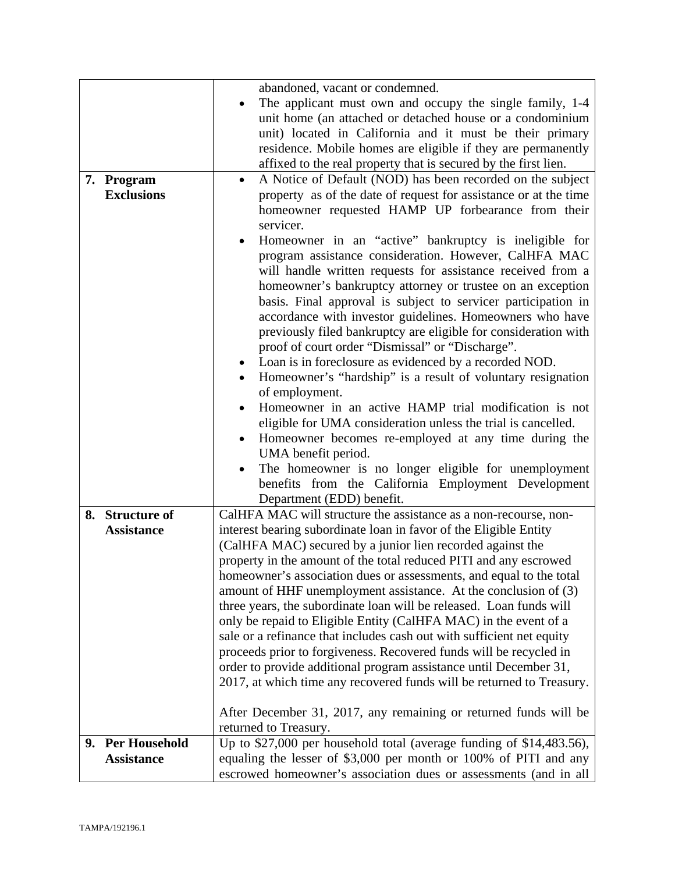|                   | abandoned, vacant or condemned.                                         |  |
|-------------------|-------------------------------------------------------------------------|--|
|                   | The applicant must own and occupy the single family, 1-4                |  |
|                   | unit home (an attached or detached house or a condominium               |  |
|                   | unit) located in California and it must be their primary                |  |
|                   | residence. Mobile homes are eligible if they are permanently            |  |
|                   | affixed to the real property that is secured by the first lien.         |  |
| 7. Program        | A Notice of Default (NOD) has been recorded on the subject<br>$\bullet$ |  |
| <b>Exclusions</b> | property as of the date of request for assistance or at the time        |  |
|                   | homeowner requested HAMP UP forbearance from their                      |  |
|                   | servicer.                                                               |  |
|                   | Homeowner in an "active" bankruptcy is ineligible for<br>$\bullet$      |  |
|                   | program assistance consideration. However, CalHFA MAC                   |  |
|                   | will handle written requests for assistance received from a             |  |
|                   |                                                                         |  |
|                   | homeowner's bankruptcy attorney or trustee on an exception              |  |
|                   | basis. Final approval is subject to servicer participation in           |  |
|                   | accordance with investor guidelines. Homeowners who have                |  |
|                   | previously filed bankruptcy are eligible for consideration with         |  |
|                   | proof of court order "Dismissal" or "Discharge".                        |  |
|                   | Loan is in foreclosure as evidenced by a recorded NOD.<br>$\bullet$     |  |
|                   | Homeowner's "hardship" is a result of voluntary resignation             |  |
|                   | of employment.                                                          |  |
|                   | Homeowner in an active HAMP trial modification is not                   |  |
|                   | eligible for UMA consideration unless the trial is cancelled.           |  |
|                   | Homeowner becomes re-employed at any time during the<br>$\bullet$       |  |
|                   | UMA benefit period.                                                     |  |
|                   | The homeowner is no longer eligible for unemployment                    |  |
|                   | benefits from the California Employment Development                     |  |
|                   | Department (EDD) benefit.                                               |  |
| 8. Structure of   | CalHFA MAC will structure the assistance as a non-recourse, non-        |  |
| <b>Assistance</b> | interest bearing subordinate loan in favor of the Eligible Entity       |  |
|                   | (CalHFA MAC) secured by a junior lien recorded against the              |  |
|                   | property in the amount of the total reduced PITI and any escrowed       |  |
|                   | homeowner's association dues or assessments, and equal to the total     |  |
|                   | amount of HHF unemployment assistance. At the conclusion of (3)         |  |
|                   | three years, the subordinate loan will be released. Loan funds will     |  |
|                   | only be repaid to Eligible Entity (CalHFA MAC) in the event of a        |  |
|                   | sale or a refinance that includes cash out with sufficient net equity   |  |
|                   | proceeds prior to forgiveness. Recovered funds will be recycled in      |  |
|                   | order to provide additional program assistance until December 31,       |  |
|                   | 2017, at which time any recovered funds will be returned to Treasury.   |  |
|                   |                                                                         |  |
|                   |                                                                         |  |
|                   | After December 31, 2017, any remaining or returned funds will be        |  |
|                   | returned to Treasury.                                                   |  |
| 9. Per Household  | Up to \$27,000 per household total (average funding of \$14,483.56),    |  |
| <b>Assistance</b> | equaling the lesser of \$3,000 per month or 100% of PITI and any        |  |
|                   | escrowed homeowner's association dues or assessments (and in all        |  |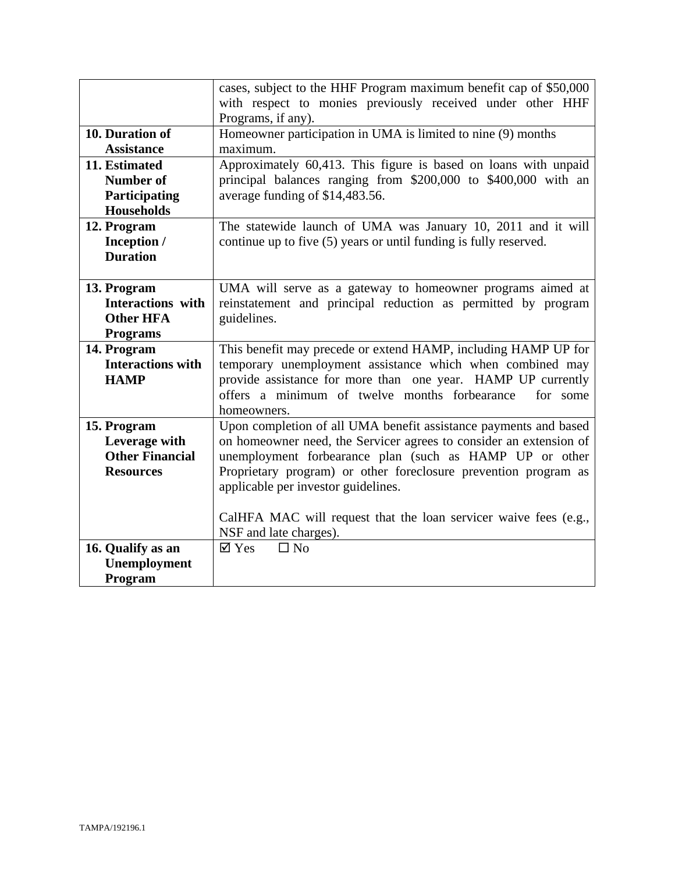|                                   | cases, subject to the HHF Program maximum benefit cap of \$50,000  |  |
|-----------------------------------|--------------------------------------------------------------------|--|
|                                   | with respect to monies previously received under other HHF         |  |
|                                   | Programs, if any).                                                 |  |
| 10. Duration of                   | Homeowner participation in UMA is limited to nine $(9)$ months     |  |
| <b>Assistance</b>                 | maximum.                                                           |  |
| 11. Estimated                     | Approximately 60,413. This figure is based on loans with unpaid    |  |
| <b>Number of</b>                  | principal balances ranging from \$200,000 to \$400,000 with an     |  |
| <b>Participating</b>              | average funding of \$14,483.56.                                    |  |
| <b>Households</b>                 |                                                                    |  |
| 12. Program                       | The statewide launch of UMA was January 10, 2011 and it will       |  |
| Inception /                       | continue up to five (5) years or until funding is fully reserved.  |  |
| <b>Duration</b>                   |                                                                    |  |
|                                   |                                                                    |  |
| 13. Program                       | UMA will serve as a gateway to homeowner programs aimed at         |  |
| <b>Interactions</b> with          | reinstatement and principal reduction as permitted by program      |  |
| <b>Other HFA</b>                  | guidelines.                                                        |  |
| <b>Programs</b>                   |                                                                    |  |
| 14. Program                       | This benefit may precede or extend HAMP, including HAMP UP for     |  |
| <b>Interactions with</b>          | temporary unemployment assistance which when combined may          |  |
| <b>HAMP</b>                       | provide assistance for more than one year. HAMP UP currently       |  |
|                                   | offers a minimum of twelve months forbearance<br>for some          |  |
|                                   | homeowners.                                                        |  |
| 15. Program                       | Upon completion of all UMA benefit assistance payments and based   |  |
| Leverage with                     | on homeowner need, the Servicer agrees to consider an extension of |  |
| <b>Other Financial</b>            | unemployment forbearance plan (such as HAMP UP or other            |  |
| <b>Resources</b>                  | Proprietary program) or other foreclosure prevention program as    |  |
|                                   | applicable per investor guidelines.                                |  |
|                                   |                                                                    |  |
|                                   | CalHFA MAC will request that the loan servicer waive fees (e.g.,   |  |
|                                   | NSF and late charges).<br>$\boxtimes$ Yes<br>$\Box$ No             |  |
| 16. Qualify as an<br>Unemployment |                                                                    |  |
|                                   |                                                                    |  |
| Program                           |                                                                    |  |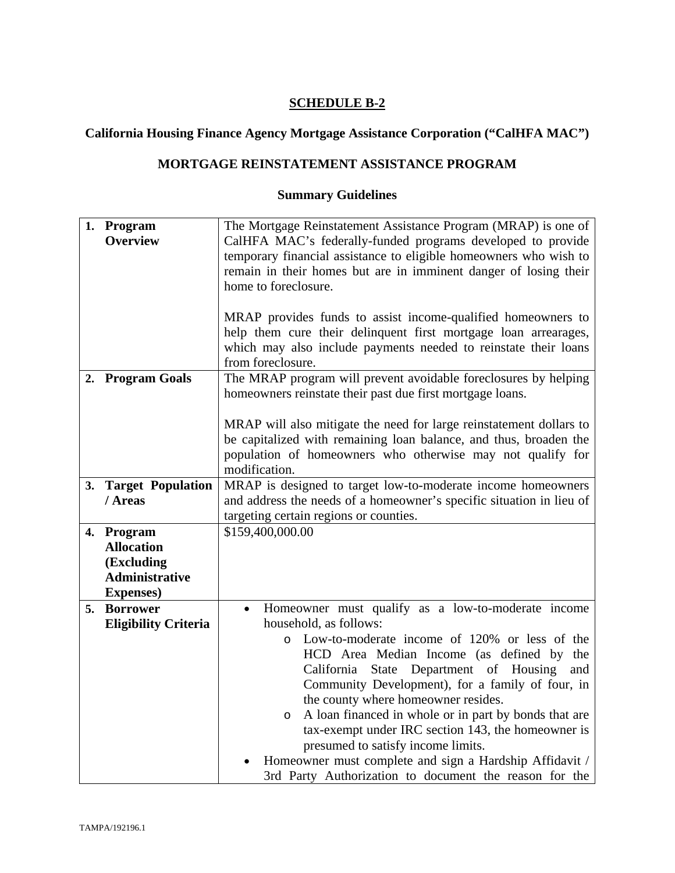## **California Housing Finance Agency Mortgage Assistance Corporation ("CalHFA MAC")**

## **MORTGAGE REINSTATEMENT ASSISTANCE PROGRAM**

|    | 1. Program                  | The Mortgage Reinstatement Assistance Program (MRAP) is one of       |  |
|----|-----------------------------|----------------------------------------------------------------------|--|
|    | <b>Overview</b>             | CalHFA MAC's federally-funded programs developed to provide          |  |
|    |                             | temporary financial assistance to eligible homeowners who wish to    |  |
|    |                             | remain in their homes but are in imminent danger of losing their     |  |
|    |                             | home to foreclosure.                                                 |  |
|    |                             |                                                                      |  |
|    |                             | MRAP provides funds to assist income-qualified homeowners to         |  |
|    |                             | help them cure their delinquent first mortgage loan arrearages,      |  |
|    |                             | which may also include payments needed to reinstate their loans      |  |
|    |                             | from foreclosure.                                                    |  |
|    |                             |                                                                      |  |
|    | 2. Program Goals            | The MRAP program will prevent avoidable foreclosures by helping      |  |
|    |                             | homeowners reinstate their past due first mortgage loans.            |  |
|    |                             | MRAP will also mitigate the need for large reinstatement dollars to  |  |
|    |                             | be capitalized with remaining loan balance, and thus, broaden the    |  |
|    |                             | population of homeowners who otherwise may not qualify for           |  |
|    |                             | modification.                                                        |  |
|    |                             |                                                                      |  |
|    | 3. Target Population        | MRAP is designed to target low-to-moderate income homeowners         |  |
|    | / Areas                     | and address the needs of a homeowner's specific situation in lieu of |  |
|    |                             | targeting certain regions or counties.                               |  |
|    | 4. Program                  | \$159,400,000.00                                                     |  |
|    | <b>Allocation</b>           |                                                                      |  |
|    | (Excluding                  |                                                                      |  |
|    | <b>Administrative</b>       |                                                                      |  |
|    | <b>Expenses</b> )           |                                                                      |  |
| 5. | <b>Borrower</b>             | Homeowner must qualify as a low-to-moderate income<br>$\bullet$      |  |
|    | <b>Eligibility Criteria</b> | household, as follows:                                               |  |
|    |                             | Low-to-moderate income of 120% or less of the<br>$\circ$             |  |
|    |                             | HCD Area Median Income (as defined by the                            |  |
|    |                             | State Department of Housing<br>California<br>and                     |  |
|    |                             | Community Development), for a family of four, in                     |  |
|    |                             | the county where homeowner resides.                                  |  |
|    |                             | A loan financed in whole or in part by bonds that are<br>$\circ$     |  |
|    |                             | tax-exempt under IRC section 143, the homeowner is                   |  |
|    |                             | presumed to satisfy income limits.                                   |  |
|    |                             | Homeowner must complete and sign a Hardship Affidavit /              |  |
|    |                             | 3rd Party Authorization to document the reason for the               |  |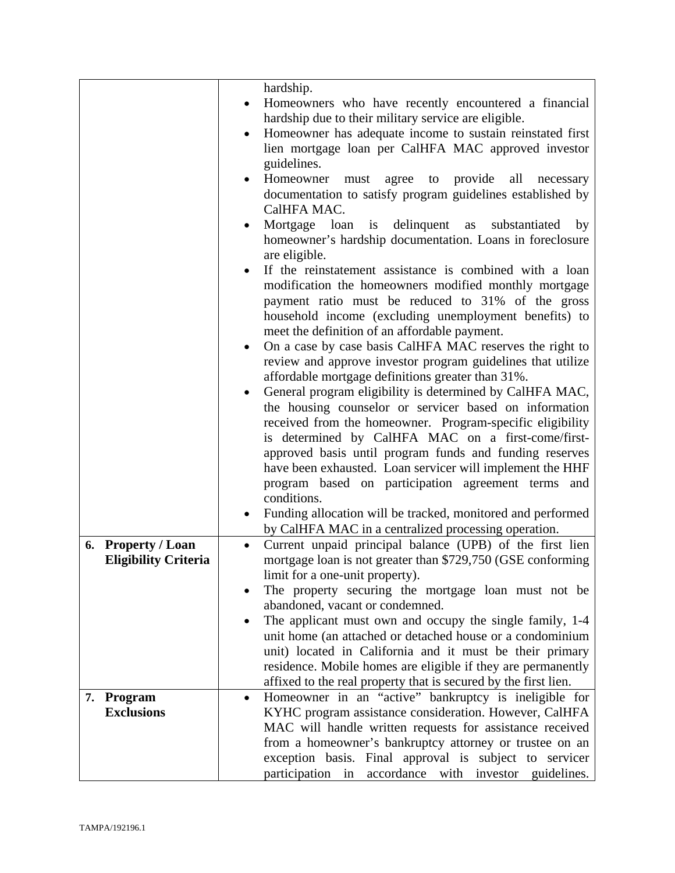|                                                   | hardship.                                                                                                                            |
|---------------------------------------------------|--------------------------------------------------------------------------------------------------------------------------------------|
|                                                   | Homeowners who have recently encountered a financial                                                                                 |
|                                                   | hardship due to their military service are eligible.                                                                                 |
|                                                   | Homeowner has adequate income to sustain reinstated first<br>$\bullet$                                                               |
|                                                   | lien mortgage loan per CalHFA MAC approved investor                                                                                  |
|                                                   | guidelines.                                                                                                                          |
|                                                   | Homeowner<br>to provide<br>all<br>agree<br>necessary<br>must                                                                         |
|                                                   | documentation to satisfy program guidelines established by                                                                           |
|                                                   | CalHFA MAC.                                                                                                                          |
|                                                   | Mortgage loan is delinquent as<br>substantiated<br>by                                                                                |
|                                                   | homeowner's hardship documentation. Loans in foreclosure                                                                             |
|                                                   | are eligible.                                                                                                                        |
|                                                   | If the reinstatement assistance is combined with a loan                                                                              |
|                                                   | modification the homeowners modified monthly mortgage                                                                                |
|                                                   | payment ratio must be reduced to 31% of the gross                                                                                    |
|                                                   | household income (excluding unemployment benefits) to                                                                                |
|                                                   | meet the definition of an affordable payment.                                                                                        |
|                                                   | On a case by case basis CalHFA MAC reserves the right to<br>$\bullet$                                                                |
|                                                   | review and approve investor program guidelines that utilize                                                                          |
|                                                   | affordable mortgage definitions greater than 31%.                                                                                    |
|                                                   | General program eligibility is determined by CalHFA MAC,<br>$\bullet$                                                                |
|                                                   | the housing counselor or servicer based on information                                                                               |
|                                                   | received from the homeowner. Program-specific eligibility                                                                            |
|                                                   | is determined by CalHFA MAC on a first-come/first-                                                                                   |
|                                                   | approved basis until program funds and funding reserves                                                                              |
|                                                   | have been exhausted. Loan servicer will implement the HHF                                                                            |
|                                                   | program based on participation agreement terms<br>and                                                                                |
|                                                   | conditions.                                                                                                                          |
|                                                   | Funding allocation will be tracked, monitored and performed                                                                          |
|                                                   | by CalHFA MAC in a centralized processing operation.                                                                                 |
| 6. Property / Loan<br><b>Eligibility Criteria</b> | Current unpaid principal balance (UPB) of the first lien<br>$\bullet$<br>mortgage loan is not greater than \$729,750 (GSE conforming |
|                                                   | limit for a one-unit property).                                                                                                      |
|                                                   | The property securing the mortgage loan must not be                                                                                  |
|                                                   | abandoned, vacant or condemned.                                                                                                      |
|                                                   | The applicant must own and occupy the single family, 1-4                                                                             |
|                                                   | unit home (an attached or detached house or a condominium                                                                            |
|                                                   | unit) located in California and it must be their primary                                                                             |
|                                                   | residence. Mobile homes are eligible if they are permanently                                                                         |
|                                                   | affixed to the real property that is secured by the first lien.                                                                      |
| Program<br>7.                                     | Homeowner in an "active" bankruptcy is ineligible for<br>$\bullet$                                                                   |
| <b>Exclusions</b>                                 | KYHC program assistance consideration. However, CalHFA                                                                               |
|                                                   | MAC will handle written requests for assistance received                                                                             |
|                                                   | from a homeowner's bankruptcy attorney or trustee on an                                                                              |
|                                                   | exception basis. Final approval is subject to servicer                                                                               |
|                                                   | participation in accordance with investor guidelines.                                                                                |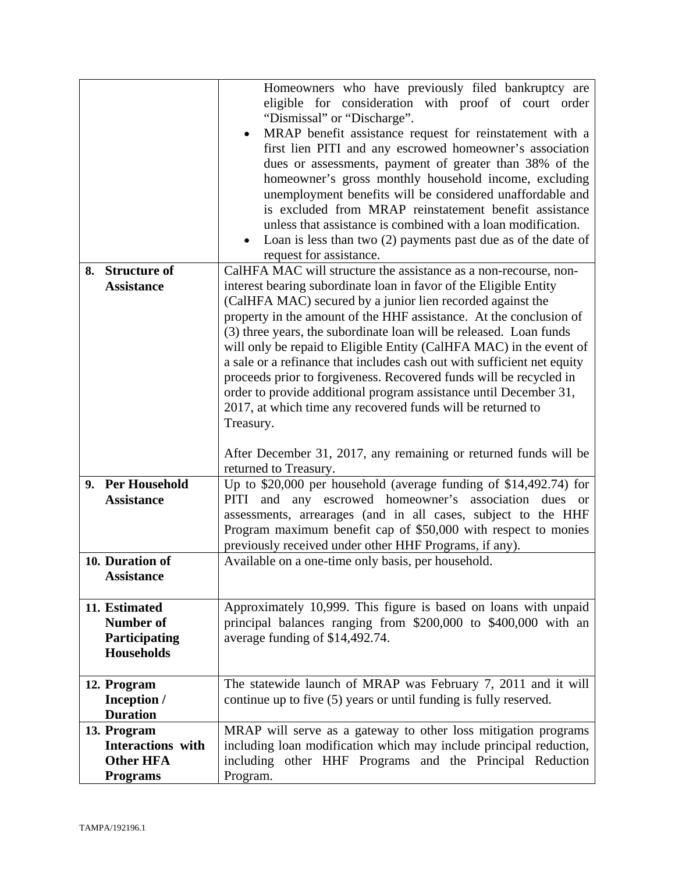|                                                                                                                                 | Homeowners who have previously filed bankruptcy are<br>eligible for consideration with proof of court order<br>"Dismissal" or "Discharge".<br>MRAP benefit assistance request for reinstatement with a<br>first lien PITI and any escrowed homeowner's association<br>dues or assessments, payment of greater than 38% of the<br>homeowner's gross monthly household income, excluding<br>unemployment benefits will be considered unaffordable and<br>is excluded from MRAP reinstatement benefit assistance<br>unless that assistance is combined with a loan modification.<br>Loan is less than two $(2)$ payments past due as of the date of<br>$\bullet$<br>request for assistance.                                 |
|---------------------------------------------------------------------------------------------------------------------------------|--------------------------------------------------------------------------------------------------------------------------------------------------------------------------------------------------------------------------------------------------------------------------------------------------------------------------------------------------------------------------------------------------------------------------------------------------------------------------------------------------------------------------------------------------------------------------------------------------------------------------------------------------------------------------------------------------------------------------|
| <b>Structure of</b><br>8.<br><b>Assistance</b>                                                                                  | CalHFA MAC will structure the assistance as a non-recourse, non-<br>interest bearing subordinate loan in favor of the Eligible Entity<br>(CalHFA MAC) secured by a junior lien recorded against the<br>property in the amount of the HHF assistance. At the conclusion of<br>(3) three years, the subordinate loan will be released. Loan funds<br>will only be repaid to Eligible Entity (CalHFA MAC) in the event of<br>a sale or a refinance that includes cash out with sufficient net equity<br>proceeds prior to forgiveness. Recovered funds will be recycled in<br>order to provide additional program assistance until December 31,<br>2017, at which time any recovered funds will be returned to<br>Treasury. |
| 9. Per Household<br><b>Assistance</b><br>10. Duration of                                                                        | After December 31, 2017, any remaining or returned funds will be<br>returned to Treasury.<br>Up to \$20,000 per household (average funding of \$14,492.74) for<br>and any escrowed homeowner's association dues or<br>PITI<br>assessments, arrearages (and in all cases, subject to the HHF<br>Program maximum benefit cap of \$50,000 with respect to monies<br>previously received under other HHF Programs, if any).<br>Available on a one-time only basis, per household.                                                                                                                                                                                                                                            |
| <b>Assistance</b><br>11. Estimated<br><b>Number of</b><br>Participating<br><b>Households</b>                                    | Approximately 10,999. This figure is based on loans with unpaid<br>principal balances ranging from \$200,000 to \$400,000 with an<br>average funding of \$14,492.74.                                                                                                                                                                                                                                                                                                                                                                                                                                                                                                                                                     |
| 12. Program<br>Inception /<br><b>Duration</b><br>13. Program<br><b>Interactions with</b><br><b>Other HFA</b><br><b>Programs</b> | The statewide launch of MRAP was February 7, 2011 and it will<br>continue up to five (5) years or until funding is fully reserved.<br>MRAP will serve as a gateway to other loss mitigation programs<br>including loan modification which may include principal reduction,<br>including other HHF Programs and the Principal Reduction<br>Program.                                                                                                                                                                                                                                                                                                                                                                       |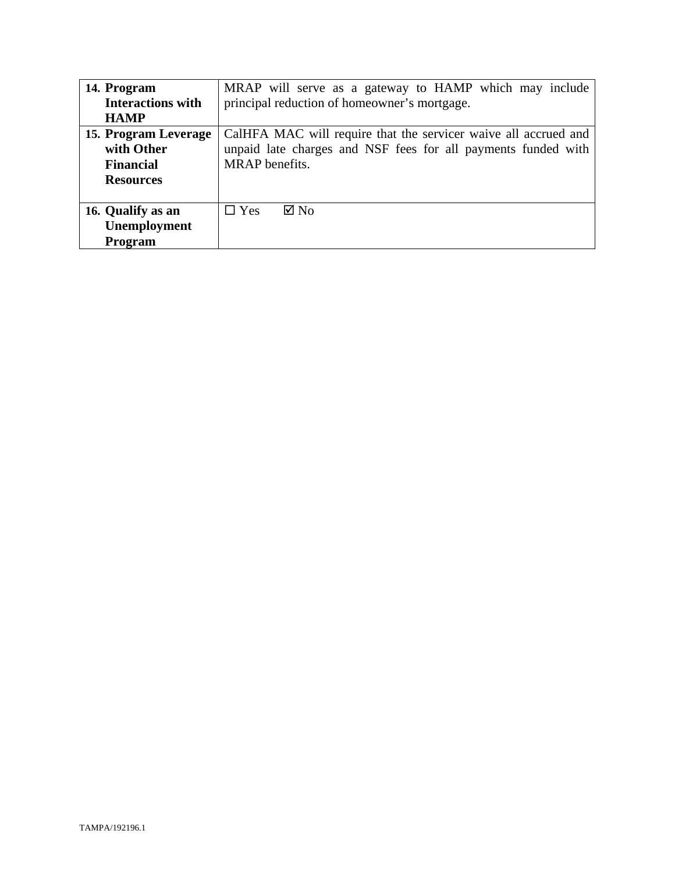| 14. Program              | MRAP will serve as a gateway to HAMP which may include          |  |
|--------------------------|-----------------------------------------------------------------|--|
| <b>Interactions with</b> | principal reduction of homeowner's mortgage.                    |  |
| <b>HAMP</b>              |                                                                 |  |
| 15. Program Leverage     | CalHFA MAC will require that the servicer waive all accrued and |  |
| with Other               | unpaid late charges and NSF fees for all payments funded with   |  |
| <b>Financial</b>         | MRAP benefits.                                                  |  |
| <b>Resources</b>         |                                                                 |  |
|                          |                                                                 |  |
| 16. Qualify as an        | $\Box$ Yes<br>$\boxtimes$ No                                    |  |
| Unemployment             |                                                                 |  |
| Program                  |                                                                 |  |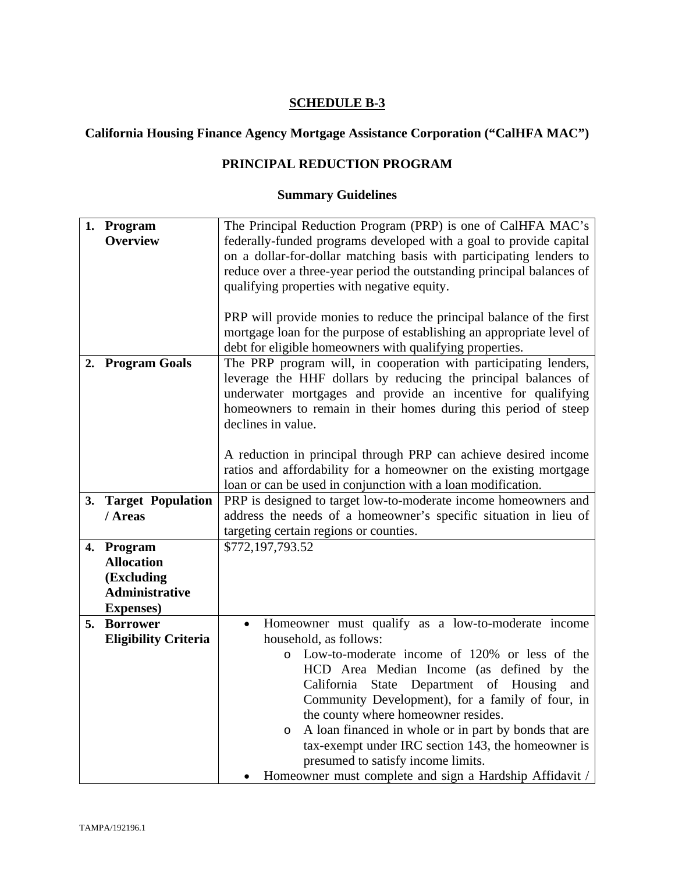# **California Housing Finance Agency Mortgage Assistance Corporation ("CalHFA MAC")**

## **PRINCIPAL REDUCTION PROGRAM**

|    | 1. Program                           | The Principal Reduction Program (PRP) is one of CalHFA MAC's          |  |
|----|--------------------------------------|-----------------------------------------------------------------------|--|
|    | <b>Overview</b>                      | federally-funded programs developed with a goal to provide capital    |  |
|    |                                      | on a dollar-for-dollar matching basis with participating lenders to   |  |
|    |                                      | reduce over a three-year period the outstanding principal balances of |  |
|    |                                      |                                                                       |  |
|    |                                      | qualifying properties with negative equity.                           |  |
|    |                                      |                                                                       |  |
|    |                                      | PRP will provide monies to reduce the principal balance of the first  |  |
|    |                                      | mortgage loan for the purpose of establishing an appropriate level of |  |
|    |                                      | debt for eligible homeowners with qualifying properties.              |  |
|    | 2. Program Goals                     | The PRP program will, in cooperation with participating lenders,      |  |
|    |                                      | leverage the HHF dollars by reducing the principal balances of        |  |
|    |                                      | underwater mortgages and provide an incentive for qualifying          |  |
|    |                                      | homeowners to remain in their homes during this period of steep       |  |
|    |                                      | declines in value.                                                    |  |
|    |                                      |                                                                       |  |
|    |                                      | A reduction in principal through PRP can achieve desired income       |  |
|    |                                      | ratios and affordability for a homeowner on the existing mortgage     |  |
|    |                                      | loan or can be used in conjunction with a loan modification.          |  |
|    | 3. Target Population                 | PRP is designed to target low-to-moderate income homeowners and       |  |
|    | / Areas                              | address the needs of a homeowner's specific situation in lieu of      |  |
|    |                                      | targeting certain regions or counties.                                |  |
|    | 4. Program                           | \$772,197,793.52                                                      |  |
|    | <b>Allocation</b>                    |                                                                       |  |
|    | (Excluding                           |                                                                       |  |
|    | <b>Administrative</b>                |                                                                       |  |
|    |                                      |                                                                       |  |
| 5. | <b>Expenses</b> )<br><b>Borrower</b> |                                                                       |  |
|    |                                      | Homeowner must qualify as a low-to-moderate income<br>$\bullet$       |  |
|    | <b>Eligibility Criteria</b>          | household, as follows:                                                |  |
|    |                                      | Low-to-moderate income of 120% or less of the<br>$\circ$              |  |
|    |                                      | HCD Area Median Income (as defined by the                             |  |
|    |                                      | State Department of Housing<br>California<br>and                      |  |
|    |                                      | Community Development), for a family of four, in                      |  |
|    |                                      | the county where homeowner resides.                                   |  |
|    |                                      | A loan financed in whole or in part by bonds that are<br>$\circ$      |  |
|    |                                      | tax-exempt under IRC section 143, the homeowner is                    |  |
|    |                                      | presumed to satisfy income limits.                                    |  |
|    |                                      | Homeowner must complete and sign a Hardship Affidavit /               |  |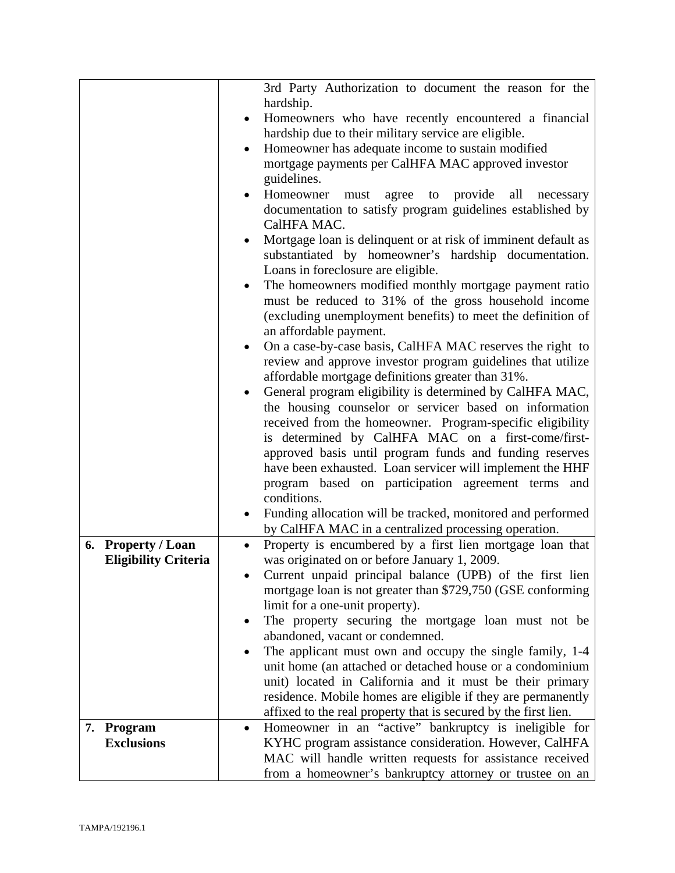|                              | 3rd Party Authorization to document the reason for the                 |
|------------------------------|------------------------------------------------------------------------|
|                              | hardship.                                                              |
|                              | Homeowners who have recently encountered a financial<br>٠              |
|                              | hardship due to their military service are eligible.                   |
|                              | Homeowner has adequate income to sustain modified<br>$\bullet$         |
|                              | mortgage payments per CalHFA MAC approved investor                     |
|                              | guidelines.                                                            |
|                              | Homeowner must agree to<br>provide<br>all<br>necessary                 |
|                              | documentation to satisfy program guidelines established by             |
|                              | CalHFA MAC.                                                            |
|                              | Mortgage loan is delinquent or at risk of imminent default as          |
|                              | substantiated by homeowner's hardship documentation.                   |
|                              | Loans in foreclosure are eligible.                                     |
|                              | The homeowners modified monthly mortgage payment ratio<br>$\bullet$    |
|                              | must be reduced to 31% of the gross household income                   |
|                              | (excluding unemployment benefits) to meet the definition of            |
|                              | an affordable payment.                                                 |
|                              | On a case-by-case basis, CalHFA MAC reserves the right to<br>٠         |
|                              | review and approve investor program guidelines that utilize            |
|                              | affordable mortgage definitions greater than 31%.                      |
|                              | General program eligibility is determined by CalHFA MAC,               |
|                              | the housing counselor or servicer based on information                 |
|                              | received from the homeowner. Program-specific eligibility              |
|                              | is determined by CalHFA MAC on a first-come/first-                     |
|                              | approved basis until program funds and funding reserves                |
|                              | have been exhausted. Loan servicer will implement the HHF              |
|                              | program based on participation agreement terms and                     |
|                              | conditions.                                                            |
|                              | Funding allocation will be tracked, monitored and performed            |
|                              | by CalHFA MAC in a centralized processing operation.                   |
| <b>Property / Loan</b><br>6. | Property is encumbered by a first lien mortgage loan that<br>$\bullet$ |
| <b>Eligibility Criteria</b>  | was originated on or before January 1, 2009.                           |
|                              | Current unpaid principal balance (UPB) of the first lien               |
|                              | mortgage loan is not greater than \$729,750 (GSE conforming            |
|                              | limit for a one-unit property).                                        |
|                              | The property securing the mortgage loan must not be                    |
|                              | abandoned, vacant or condemned.                                        |
|                              | The applicant must own and occupy the single family, 1-4               |
|                              | unit home (an attached or detached house or a condominium              |
|                              | unit) located in California and it must be their primary               |
|                              | residence. Mobile homes are eligible if they are permanently           |
|                              | affixed to the real property that is secured by the first lien.        |
| 7. Program                   | Homeowner in an "active" bankruptcy is ineligible for<br>$\bullet$     |
| <b>Exclusions</b>            | KYHC program assistance consideration. However, CalHFA                 |
|                              | MAC will handle written requests for assistance received               |
|                              | from a homeowner's bankruptcy attorney or trustee on an                |
|                              |                                                                        |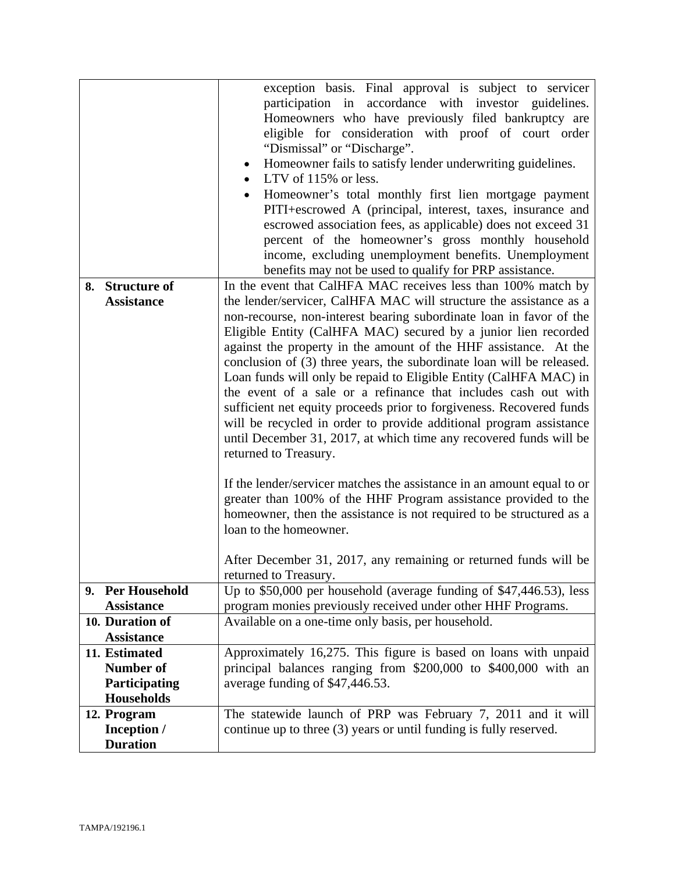|                                    | exception basis. Final approval is subject to servicer<br>participation in accordance with investor guidelines.<br>Homeowners who have previously filed bankruptcy are<br>eligible for consideration with proof of court order<br>"Dismissal" or "Discharge".<br>Homeowner fails to satisfy lender underwriting guidelines.<br>LTV of 115% or less.<br>$\bullet$<br>Homeowner's total monthly first lien mortgage payment<br>$\bullet$<br>PITI+escrowed A (principal, interest, taxes, insurance and<br>escrowed association fees, as applicable) does not exceed 31                                                                                                                                                                                                                                                                                                                                                                                                                                               |
|------------------------------------|--------------------------------------------------------------------------------------------------------------------------------------------------------------------------------------------------------------------------------------------------------------------------------------------------------------------------------------------------------------------------------------------------------------------------------------------------------------------------------------------------------------------------------------------------------------------------------------------------------------------------------------------------------------------------------------------------------------------------------------------------------------------------------------------------------------------------------------------------------------------------------------------------------------------------------------------------------------------------------------------------------------------|
|                                    | percent of the homeowner's gross monthly household<br>income, excluding unemployment benefits. Unemployment                                                                                                                                                                                                                                                                                                                                                                                                                                                                                                                                                                                                                                                                                                                                                                                                                                                                                                        |
|                                    | benefits may not be used to qualify for PRP assistance.                                                                                                                                                                                                                                                                                                                                                                                                                                                                                                                                                                                                                                                                                                                                                                                                                                                                                                                                                            |
| 8. Structure of                    | In the event that CalHFA MAC receives less than 100% match by                                                                                                                                                                                                                                                                                                                                                                                                                                                                                                                                                                                                                                                                                                                                                                                                                                                                                                                                                      |
| <b>Assistance</b>                  | the lender/servicer, CalHFA MAC will structure the assistance as a                                                                                                                                                                                                                                                                                                                                                                                                                                                                                                                                                                                                                                                                                                                                                                                                                                                                                                                                                 |
|                                    | non-recourse, non-interest bearing subordinate loan in favor of the<br>Eligible Entity (CalHFA MAC) secured by a junior lien recorded<br>against the property in the amount of the HHF assistance. At the<br>conclusion of (3) three years, the subordinate loan will be released.<br>Loan funds will only be repaid to Eligible Entity (CalHFA MAC) in<br>the event of a sale or a refinance that includes cash out with<br>sufficient net equity proceeds prior to forgiveness. Recovered funds<br>will be recycled in order to provide additional program assistance<br>until December 31, 2017, at which time any recovered funds will be<br>returned to Treasury.<br>If the lender/servicer matches the assistance in an amount equal to or<br>greater than 100% of the HHF Program assistance provided to the<br>homeowner, then the assistance is not required to be structured as a<br>loan to the homeowner.<br>After December 31, 2017, any remaining or returned funds will be<br>returned to Treasury. |
| 9. Per Household                   | Up to $$50,000$ per household (average funding of $$47,446.53$ ), less                                                                                                                                                                                                                                                                                                                                                                                                                                                                                                                                                                                                                                                                                                                                                                                                                                                                                                                                             |
| <b>Assistance</b>                  | program monies previously received under other HHF Programs.                                                                                                                                                                                                                                                                                                                                                                                                                                                                                                                                                                                                                                                                                                                                                                                                                                                                                                                                                       |
| 10. Duration of                    | Available on a one-time only basis, per household.                                                                                                                                                                                                                                                                                                                                                                                                                                                                                                                                                                                                                                                                                                                                                                                                                                                                                                                                                                 |
| <b>Assistance</b>                  |                                                                                                                                                                                                                                                                                                                                                                                                                                                                                                                                                                                                                                                                                                                                                                                                                                                                                                                                                                                                                    |
| 11. Estimated                      | Approximately 16,275. This figure is based on loans with unpaid                                                                                                                                                                                                                                                                                                                                                                                                                                                                                                                                                                                                                                                                                                                                                                                                                                                                                                                                                    |
| Number of                          | principal balances ranging from \$200,000 to \$400,000 with an                                                                                                                                                                                                                                                                                                                                                                                                                                                                                                                                                                                                                                                                                                                                                                                                                                                                                                                                                     |
| Participating<br><b>Households</b> | average funding of \$47,446.53.                                                                                                                                                                                                                                                                                                                                                                                                                                                                                                                                                                                                                                                                                                                                                                                                                                                                                                                                                                                    |
| 12. Program                        | The statewide launch of PRP was February 7, 2011 and it will                                                                                                                                                                                                                                                                                                                                                                                                                                                                                                                                                                                                                                                                                                                                                                                                                                                                                                                                                       |
| Inception /                        | continue up to three (3) years or until funding is fully reserved.                                                                                                                                                                                                                                                                                                                                                                                                                                                                                                                                                                                                                                                                                                                                                                                                                                                                                                                                                 |
| <b>Duration</b>                    |                                                                                                                                                                                                                                                                                                                                                                                                                                                                                                                                                                                                                                                                                                                                                                                                                                                                                                                                                                                                                    |
|                                    |                                                                                                                                                                                                                                                                                                                                                                                                                                                                                                                                                                                                                                                                                                                                                                                                                                                                                                                                                                                                                    |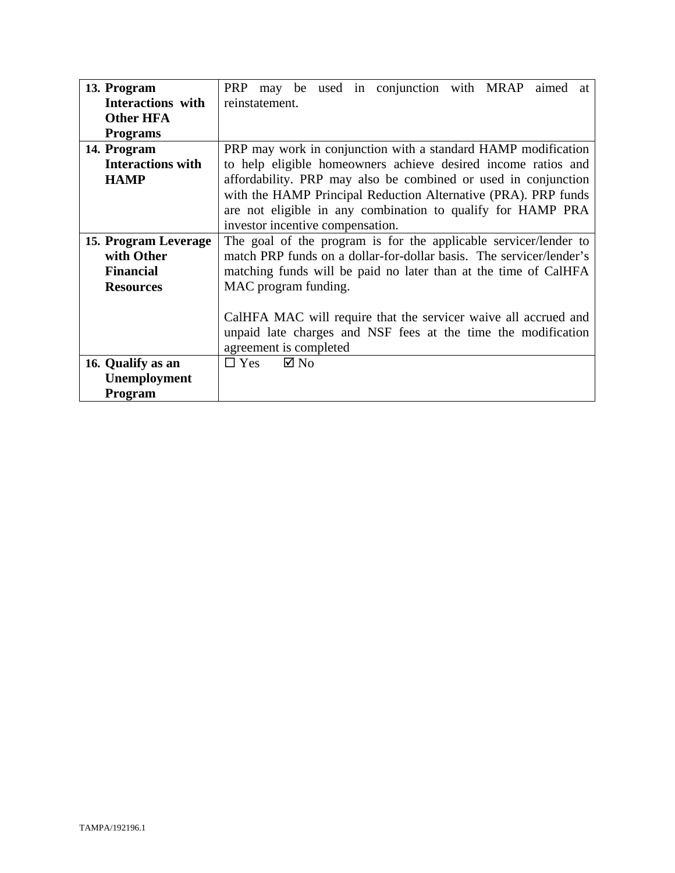| 13. Program              | PRP may be used in conjunction with MRAP aimed<br>at                |  |
|--------------------------|---------------------------------------------------------------------|--|
| Interactions with        | reinstatement.                                                      |  |
| <b>Other HFA</b>         |                                                                     |  |
| <b>Programs</b>          |                                                                     |  |
| 14. Program              | PRP may work in conjunction with a standard HAMP modification       |  |
| <b>Interactions with</b> | to help eligible homeowners achieve desired income ratios and       |  |
| <b>HAMP</b>              | affordability. PRP may also be combined or used in conjunction      |  |
|                          | with the HAMP Principal Reduction Alternative (PRA). PRP funds      |  |
|                          | are not eligible in any combination to qualify for HAMP PRA         |  |
|                          | investor incentive compensation.                                    |  |
| 15. Program Leverage     | The goal of the program is for the applicable servicer/lender to    |  |
| with Other               | match PRP funds on a dollar-for-dollar basis. The servicer/lender's |  |
| <b>Financial</b>         | matching funds will be paid no later than at the time of CalHFA     |  |
| <b>Resources</b>         | MAC program funding.                                                |  |
|                          |                                                                     |  |
|                          | CalHFA MAC will require that the servicer waive all accrued and     |  |
|                          | unpaid late charges and NSF fees at the time the modification       |  |
|                          | agreement is completed                                              |  |
| 16. Qualify as an        | $\Box$ Yes $\Box$ No                                                |  |
| Unemployment             |                                                                     |  |
| Program                  |                                                                     |  |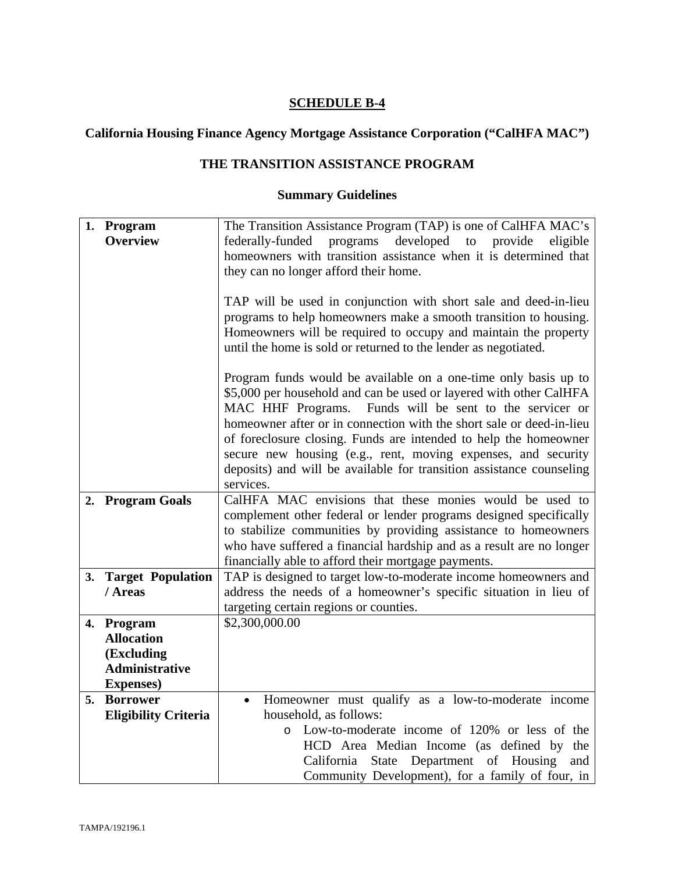# **California Housing Finance Agency Mortgage Assistance Corporation ("CalHFA MAC")**

## **THE TRANSITION ASSISTANCE PROGRAM**

|    | 1. Program                  | The Transition Assistance Program (TAP) is one of CalHFA MAC's       |
|----|-----------------------------|----------------------------------------------------------------------|
|    | <b>Overview</b>             | federally-funded<br>programs developed to provide<br>eligible        |
|    |                             | homeowners with transition assistance when it is determined that     |
|    |                             | they can no longer afford their home.                                |
|    |                             |                                                                      |
|    |                             | TAP will be used in conjunction with short sale and deed-in-lieu     |
|    |                             | programs to help homeowners make a smooth transition to housing.     |
|    |                             | Homeowners will be required to occupy and maintain the property      |
|    |                             | until the home is sold or returned to the lender as negotiated.      |
|    |                             |                                                                      |
|    |                             | Program funds would be available on a one-time only basis up to      |
|    |                             | \$5,000 per household and can be used or layered with other CalHFA   |
|    |                             | MAC HHF Programs. Funds will be sent to the servicer or              |
|    |                             | homeowner after or in connection with the short sale or deed-in-lieu |
|    |                             | of foreclosure closing. Funds are intended to help the homeowner     |
|    |                             | secure new housing (e.g., rent, moving expenses, and security        |
|    |                             | deposits) and will be available for transition assistance counseling |
|    |                             | services.                                                            |
|    | 2. Program Goals            | CalHFA MAC envisions that these monies would be used to              |
|    |                             | complement other federal or lender programs designed specifically    |
|    |                             | to stabilize communities by providing assistance to homeowners       |
|    |                             | who have suffered a financial hardship and as a result are no longer |
|    |                             | financially able to afford their mortgage payments.                  |
|    | 3. Target Population        | TAP is designed to target low-to-moderate income homeowners and      |
|    | / Areas                     | address the needs of a homeowner's specific situation in lieu of     |
|    |                             | targeting certain regions or counties.                               |
|    | 4. Program                  | \$2,300,000.00                                                       |
|    | <b>Allocation</b>           |                                                                      |
|    | (Excluding                  |                                                                      |
|    | <b>Administrative</b>       |                                                                      |
|    | <b>Expenses</b> )           |                                                                      |
| 5. | <b>Borrower</b>             | Homeowner must qualify as a low-to-moderate income<br>$\bullet$      |
|    | <b>Eligibility Criteria</b> | household, as follows:                                               |
|    |                             | Low-to-moderate income of 120% or less of the<br>$\circ$             |
|    |                             | HCD Area Median Income (as defined by the                            |
|    |                             | State Department of Housing<br>California<br>and                     |
|    |                             | Community Development), for a family of four, in                     |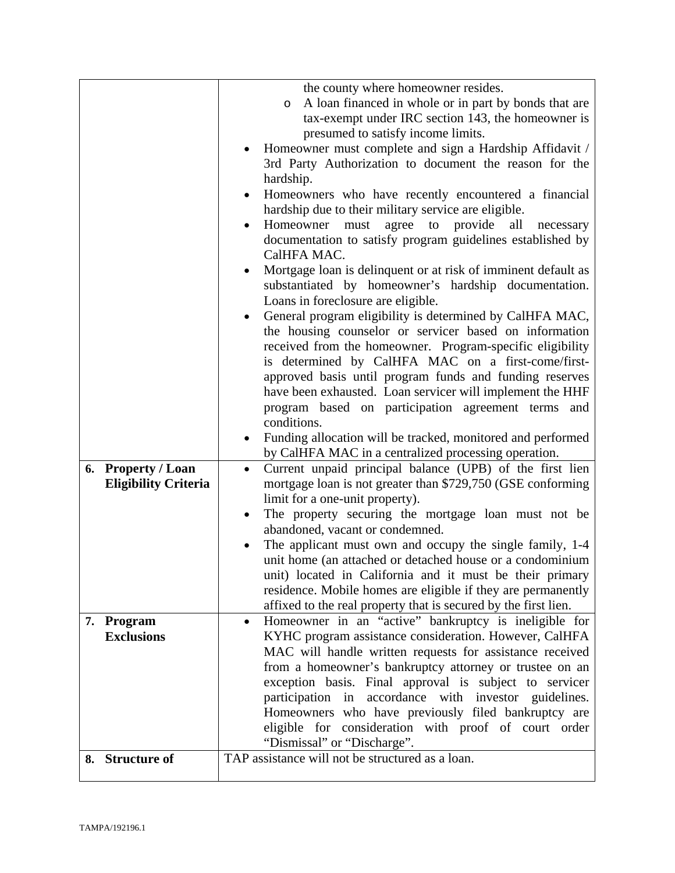|    |                             | the county where homeowner resides.                                          |
|----|-----------------------------|------------------------------------------------------------------------------|
|    |                             | A loan financed in whole or in part by bonds that are<br>$\circ$             |
|    |                             | tax-exempt under IRC section 143, the homeowner is                           |
|    |                             | presumed to satisfy income limits.                                           |
|    |                             | Homeowner must complete and sign a Hardship Affidavit /                      |
|    |                             | 3rd Party Authorization to document the reason for the                       |
|    |                             |                                                                              |
|    |                             | hardship.                                                                    |
|    |                             | Homeowners who have recently encountered a financial                         |
|    |                             | hardship due to their military service are eligible.                         |
|    |                             | Homeowner<br>agree<br>provide<br>to<br>all<br>must<br>necessary<br>$\bullet$ |
|    |                             | documentation to satisfy program guidelines established by                   |
|    |                             | CalHFA MAC.                                                                  |
|    |                             | Mortgage loan is delinquent or at risk of imminent default as                |
|    |                             | substantiated by homeowner's hardship documentation.                         |
|    |                             | Loans in foreclosure are eligible.                                           |
|    |                             | General program eligibility is determined by CalHFA MAC,                     |
|    |                             | the housing counselor or servicer based on information                       |
|    |                             | received from the homeowner. Program-specific eligibility                    |
|    |                             |                                                                              |
|    |                             | is determined by CalHFA MAC on a first-come/first-                           |
|    |                             | approved basis until program funds and funding reserves                      |
|    |                             | have been exhausted. Loan servicer will implement the HHF                    |
|    |                             | program based on participation agreement terms and                           |
|    |                             | conditions.                                                                  |
|    |                             | Funding allocation will be tracked, monitored and performed                  |
|    |                             | by CalHFA MAC in a centralized processing operation.                         |
| 6. | <b>Property / Loan</b>      | Current unpaid principal balance (UPB) of the first lien<br>$\bullet$        |
|    | <b>Eligibility Criteria</b> | mortgage loan is not greater than \$729,750 (GSE conforming                  |
|    |                             | limit for a one-unit property).                                              |
|    |                             | The property securing the mortgage loan must not be                          |
|    |                             | abandoned, vacant or condemned.                                              |
|    |                             |                                                                              |
|    |                             | The applicant must own and occupy the single family, 1-4                     |
|    |                             | unit home (an attached or detached house or a condominium                    |
|    |                             | unit) located in California and it must be their primary                     |
|    |                             | residence. Mobile homes are eligible if they are permanently                 |
|    |                             | affixed to the real property that is secured by the first lien.              |
|    | 7. Program                  | Homeowner in an "active" bankruptcy is ineligible for<br>$\bullet$           |
|    | <b>Exclusions</b>           | KYHC program assistance consideration. However, CalHFA                       |
|    |                             | MAC will handle written requests for assistance received                     |
|    |                             | from a homeowner's bankruptcy attorney or trustee on an                      |
|    |                             | exception basis. Final approval is subject to servicer                       |
|    |                             | participation in accordance with investor guidelines.                        |
|    |                             | Homeowners who have previously filed bankruptcy are                          |
|    |                             |                                                                              |
|    |                             | eligible for consideration with proof of court order                         |
|    |                             | "Dismissal" or "Discharge".                                                  |
|    | 8. Structure of             | TAP assistance will not be structured as a loan.                             |
|    |                             |                                                                              |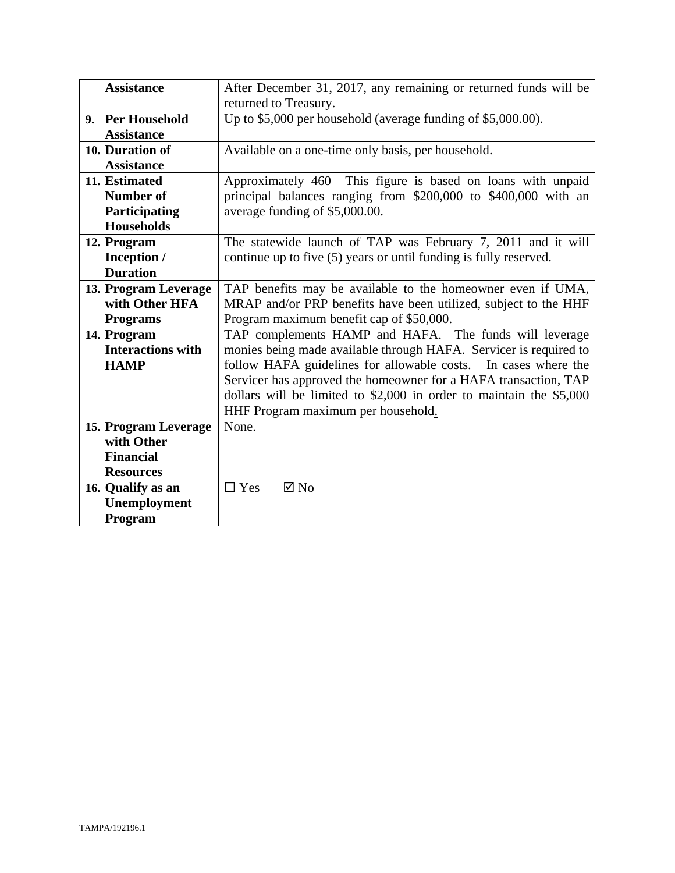| <b>Assistance</b>        | After December 31, 2017, any remaining or returned funds will be      |
|--------------------------|-----------------------------------------------------------------------|
|                          | returned to Treasury.                                                 |
| 9. Per Household         | Up to \$5,000 per household (average funding of \$5,000.00).          |
| <b>Assistance</b>        |                                                                       |
| 10. Duration of          | Available on a one-time only basis, per household.                    |
| <b>Assistance</b>        |                                                                       |
| 11. Estimated            | Approximately 460 This figure is based on loans with unpaid           |
| Number of                | principal balances ranging from \$200,000 to \$400,000 with an        |
| Participating            | average funding of \$5,000.00.                                        |
| <b>Households</b>        |                                                                       |
| 12. Program              | The statewide launch of TAP was February 7, 2011 and it will          |
| Inception /              | continue up to five (5) years or until funding is fully reserved.     |
| <b>Duration</b>          |                                                                       |
| 13. Program Leverage     | TAP benefits may be available to the homeowner even if UMA,           |
| with Other HFA           | MRAP and/or PRP benefits have been utilized, subject to the HHF       |
| <b>Programs</b>          | Program maximum benefit cap of \$50,000.                              |
| 14. Program              | TAP complements HAMP and HAFA. The funds will leverage                |
| <b>Interactions with</b> | monies being made available through HAFA. Servicer is required to     |
| <b>HAMP</b>              | follow HAFA guidelines for allowable costs. In cases where the        |
|                          | Servicer has approved the homeowner for a HAFA transaction, TAP       |
|                          | dollars will be limited to $$2,000$ in order to maintain the $$5,000$ |
|                          | HHF Program maximum per household.                                    |
| 15. Program Leverage     | None.                                                                 |
| with Other               |                                                                       |
| <b>Financial</b>         |                                                                       |
| <b>Resources</b>         |                                                                       |
| 16. Qualify as an        | $\Box$ Yes<br>$\boxtimes$ No                                          |
| Unemployment             |                                                                       |
| Program                  |                                                                       |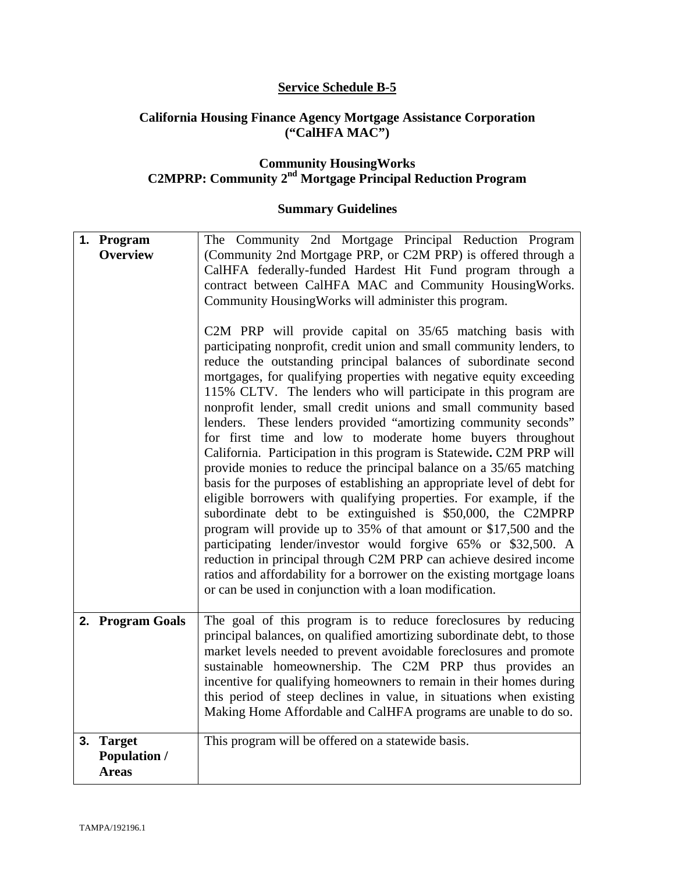### **Service Schedule B-5**

#### **California Housing Finance Agency Mortgage Assistance Corporation ("CalHFA MAC")**

#### **Community HousingWorks C2MPRP: Community 2nd Mortgage Principal Reduction Program**

| 1. Program<br><b>Overview</b>                              | The Community 2nd Mortgage Principal Reduction Program<br>(Community 2nd Mortgage PRP, or C2M PRP) is offered through a<br>CalHFA federally-funded Hardest Hit Fund program through a<br>contract between CalHFA MAC and Community HousingWorks.<br>Community Housing Works will administer this program.<br>C2M PRP will provide capital on 35/65 matching basis with<br>participating nonprofit, credit union and small community lenders, to<br>reduce the outstanding principal balances of subordinate second<br>mortgages, for qualifying properties with negative equity exceeding<br>115% CLTV. The lenders who will participate in this program are<br>nonprofit lender, small credit unions and small community based<br>lenders. These lenders provided "amortizing community seconds"<br>for first time and low to moderate home buyers throughout<br>California. Participation in this program is Statewide. C2M PRP will<br>provide monies to reduce the principal balance on a 35/65 matching<br>basis for the purposes of establishing an appropriate level of debt for<br>eligible borrowers with qualifying properties. For example, if the<br>subordinate debt to be extinguished is \$50,000, the C2MPRP<br>program will provide up to 35% of that amount or \$17,500 and the<br>participating lender/investor would forgive 65% or \$32,500. A<br>reduction in principal through C2M PRP can achieve desired income<br>ratios and affordability for a borrower on the existing mortgage loans<br>or can be used in conjunction with a loan modification. |
|------------------------------------------------------------|-------------------------------------------------------------------------------------------------------------------------------------------------------------------------------------------------------------------------------------------------------------------------------------------------------------------------------------------------------------------------------------------------------------------------------------------------------------------------------------------------------------------------------------------------------------------------------------------------------------------------------------------------------------------------------------------------------------------------------------------------------------------------------------------------------------------------------------------------------------------------------------------------------------------------------------------------------------------------------------------------------------------------------------------------------------------------------------------------------------------------------------------------------------------------------------------------------------------------------------------------------------------------------------------------------------------------------------------------------------------------------------------------------------------------------------------------------------------------------------------------------------------------------------------------------------------------------|
| 2. Program Goals                                           | The goal of this program is to reduce foreclosures by reducing<br>principal balances, on qualified amortizing subordinate debt, to those<br>market levels needed to prevent avoidable foreclosures and promote<br>sustainable homeownership. The C2M PRP thus provides an<br>incentive for qualifying homeowners to remain in their homes during<br>this period of steep declines in value, in situations when existing<br>Making Home Affordable and CalHFA programs are unable to do so.                                                                                                                                                                                                                                                                                                                                                                                                                                                                                                                                                                                                                                                                                                                                                                                                                                                                                                                                                                                                                                                                                    |
| <b>Target</b><br>3.<br><b>Population /</b><br><b>Areas</b> | This program will be offered on a statewide basis.                                                                                                                                                                                                                                                                                                                                                                                                                                                                                                                                                                                                                                                                                                                                                                                                                                                                                                                                                                                                                                                                                                                                                                                                                                                                                                                                                                                                                                                                                                                            |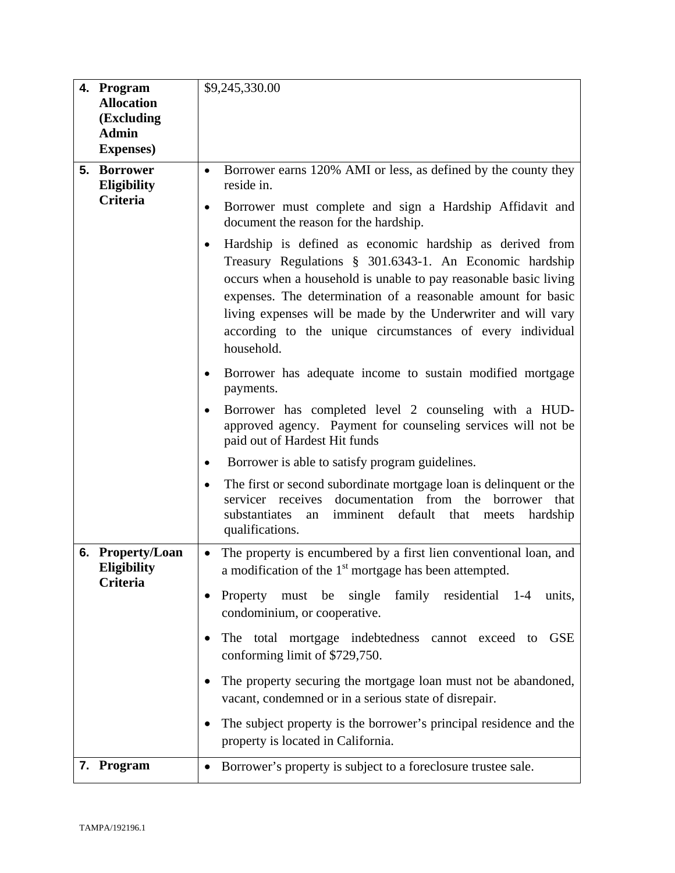|    | 4. Program<br><b>Allocation</b><br>(Excluding<br><b>Admin</b><br><b>Expenses</b> ) | \$9,245,330.00                                                                                                                                                                                                                                                                                                                                                                                                   |
|----|------------------------------------------------------------------------------------|------------------------------------------------------------------------------------------------------------------------------------------------------------------------------------------------------------------------------------------------------------------------------------------------------------------------------------------------------------------------------------------------------------------|
|    | 5. Borrower<br><b>Eligibility</b><br><b>Criteria</b>                               | Borrower earns 120% AMI or less, as defined by the county they<br>$\bullet$<br>reside in.<br>Borrower must complete and sign a Hardship Affidavit and<br>$\bullet$<br>document the reason for the hardship.                                                                                                                                                                                                      |
|    |                                                                                    | Hardship is defined as economic hardship as derived from<br>$\bullet$<br>Treasury Regulations § 301.6343-1. An Economic hardship<br>occurs when a household is unable to pay reasonable basic living<br>expenses. The determination of a reasonable amount for basic<br>living expenses will be made by the Underwriter and will vary<br>according to the unique circumstances of every individual<br>household. |
|    |                                                                                    | Borrower has adequate income to sustain modified mortgage<br>$\bullet$<br>payments.                                                                                                                                                                                                                                                                                                                              |
|    |                                                                                    | Borrower has completed level 2 counseling with a HUD-<br>$\bullet$<br>approved agency. Payment for counseling services will not be<br>paid out of Hardest Hit funds                                                                                                                                                                                                                                              |
|    |                                                                                    | Borrower is able to satisfy program guidelines.<br>$\bullet$                                                                                                                                                                                                                                                                                                                                                     |
|    |                                                                                    | The first or second subordinate mortgage loan is delinquent or the<br>$\bullet$<br>documentation from the<br>servicer receives<br>borrower<br>that<br>substantiates<br>imminent default that<br>hardship<br>an<br>meets<br>qualifications.                                                                                                                                                                       |
| 6. | <b>Property/Loan</b><br><b>Eligibility</b><br>Criteria                             | The property is encumbered by a first lien conventional loan, and<br>$\bullet$<br>a modification of the 1 <sup>st</sup> mortgage has been attempted.                                                                                                                                                                                                                                                             |
|    |                                                                                    | Property must be single family residential 1-4<br>units,<br>condominium, or cooperative.                                                                                                                                                                                                                                                                                                                         |
|    |                                                                                    | The total mortgage indebtedness cannot exceed to<br><b>GSE</b><br>conforming limit of \$729,750.                                                                                                                                                                                                                                                                                                                 |
|    |                                                                                    | The property securing the mortgage loan must not be abandoned,<br>vacant, condemned or in a serious state of disrepair.                                                                                                                                                                                                                                                                                          |
|    |                                                                                    | The subject property is the borrower's principal residence and the<br>property is located in California.                                                                                                                                                                                                                                                                                                         |
|    | 7. Program                                                                         | Borrower's property is subject to a foreclosure trustee sale.                                                                                                                                                                                                                                                                                                                                                    |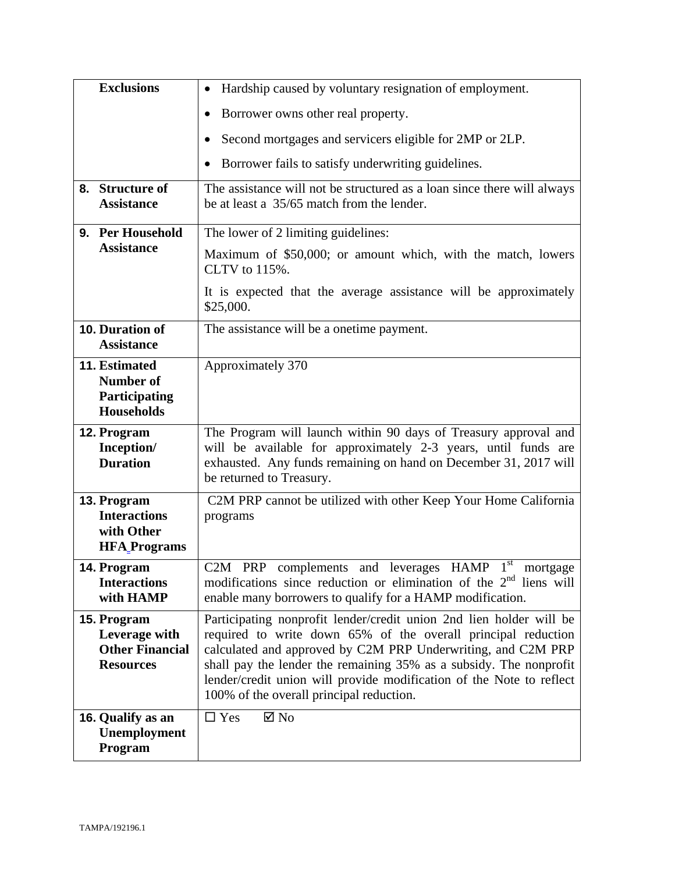| <b>Exclusions</b>                                                          | Hardship caused by voluntary resignation of employment.                                                                                                                                                                                                                                                                                                                                        |
|----------------------------------------------------------------------------|------------------------------------------------------------------------------------------------------------------------------------------------------------------------------------------------------------------------------------------------------------------------------------------------------------------------------------------------------------------------------------------------|
|                                                                            | Borrower owns other real property.                                                                                                                                                                                                                                                                                                                                                             |
|                                                                            | Second mortgages and servicers eligible for 2MP or 2LP.                                                                                                                                                                                                                                                                                                                                        |
|                                                                            | Borrower fails to satisfy underwriting guidelines.                                                                                                                                                                                                                                                                                                                                             |
| 8. Structure of<br><b>Assistance</b>                                       | The assistance will not be structured as a loan since there will always<br>be at least a 35/65 match from the lender.                                                                                                                                                                                                                                                                          |
| 9. Per Household                                                           | The lower of 2 limiting guidelines:                                                                                                                                                                                                                                                                                                                                                            |
| <b>Assistance</b>                                                          | Maximum of \$50,000; or amount which, with the match, lowers<br>CLTV to 115%.                                                                                                                                                                                                                                                                                                                  |
|                                                                            | It is expected that the average assistance will be approximately<br>\$25,000.                                                                                                                                                                                                                                                                                                                  |
| 10. Duration of<br><b>Assistance</b>                                       | The assistance will be a onetime payment.                                                                                                                                                                                                                                                                                                                                                      |
| <b>11. Estimated</b><br>Number of<br>Participating<br><b>Households</b>    | Approximately 370                                                                                                                                                                                                                                                                                                                                                                              |
| 12. Program<br>Inception/<br><b>Duration</b>                               | The Program will launch within 90 days of Treasury approval and<br>will be available for approximately 2-3 years, until funds are<br>exhausted. Any funds remaining on hand on December 31, 2017 will<br>be returned to Treasury.                                                                                                                                                              |
| 13. Program<br><b>Interactions</b><br>with Other<br><b>HFA</b> Programs    | C2M PRP cannot be utilized with other Keep Your Home California<br>programs                                                                                                                                                                                                                                                                                                                    |
| 14. Program<br><b>Interactions</b><br>with HAMP                            | $1^{\rm st}$<br>C2M<br><b>HAMP</b><br>and<br><b>PRP</b><br>complements<br>leverages<br>mortgage<br>modifications since reduction or elimination of the $2nd$ liens will<br>enable many borrowers to qualify for a HAMP modification.                                                                                                                                                           |
| 15. Program<br>Leverage with<br><b>Other Financial</b><br><b>Resources</b> | Participating nonprofit lender/credit union 2nd lien holder will be<br>required to write down 65% of the overall principal reduction<br>calculated and approved by C2M PRP Underwriting, and C2M PRP<br>shall pay the lender the remaining 35% as a subsidy. The nonprofit<br>lender/credit union will provide modification of the Note to reflect<br>100% of the overall principal reduction. |
| 16. Qualify as an<br>Unemployment<br>Program                               | $\square$ Yes<br>$\boxtimes$ No                                                                                                                                                                                                                                                                                                                                                                |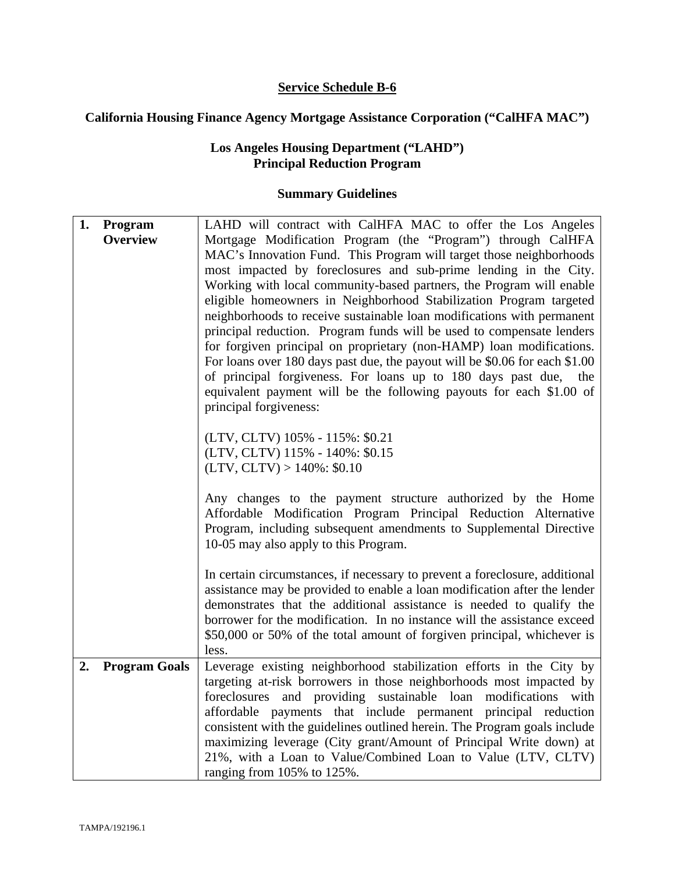## **Service Schedule B-6**

## **California Housing Finance Agency Mortgage Assistance Corporation ("CalHFA MAC")**

## **Los Angeles Housing Department ("LAHD") Principal Reduction Program**

| 1. | Program              | LAHD will contract with CalHFA MAC to offer the Los Angeles                                                 |
|----|----------------------|-------------------------------------------------------------------------------------------------------------|
|    | <b>Overview</b>      | Mortgage Modification Program (the "Program") through CalHFA                                                |
|    |                      | MAC's Innovation Fund. This Program will target those neighborhoods                                         |
|    |                      | most impacted by foreclosures and sub-prime lending in the City.                                            |
|    |                      | Working with local community-based partners, the Program will enable                                        |
|    |                      | eligible homeowners in Neighborhood Stabilization Program targeted                                          |
|    |                      | neighborhoods to receive sustainable loan modifications with permanent                                      |
|    |                      | principal reduction. Program funds will be used to compensate lenders                                       |
|    |                      | for forgiven principal on proprietary (non-HAMP) loan modifications.                                        |
|    |                      | For loans over 180 days past due, the payout will be \$0.06 for each \$1.00                                 |
|    |                      | of principal forgiveness. For loans up to 180 days past due, the                                            |
|    |                      | equivalent payment will be the following payouts for each \$1.00 of                                         |
|    |                      | principal forgiveness:                                                                                      |
|    |                      |                                                                                                             |
|    |                      | (LTV, CLTV) 105% - 115%: \$0.21                                                                             |
|    |                      | (LTV, CLTV) 115% - 140%: \$0.15                                                                             |
|    |                      | $(LTV, CLTV) > 140\%$ : \$0.10                                                                              |
|    |                      |                                                                                                             |
|    |                      | Any changes to the payment structure authorized by the Home                                                 |
|    |                      | Affordable Modification Program Principal Reduction Alternative                                             |
|    |                      | Program, including subsequent amendments to Supplemental Directive<br>10-05 may also apply to this Program. |
|    |                      |                                                                                                             |
|    |                      | In certain circumstances, if necessary to prevent a foreclosure, additional                                 |
|    |                      | assistance may be provided to enable a loan modification after the lender                                   |
|    |                      | demonstrates that the additional assistance is needed to qualify the                                        |
|    |                      | borrower for the modification. In no instance will the assistance exceed                                    |
|    |                      | \$50,000 or 50% of the total amount of forgiven principal, whichever is                                     |
|    |                      | less.                                                                                                       |
| 2. | <b>Program Goals</b> | Leverage existing neighborhood stabilization efforts in the City by                                         |
|    |                      | targeting at-risk borrowers in those neighborhoods most impacted by                                         |
|    |                      | foreclosures and providing sustainable loan modifications<br>with                                           |
|    |                      | affordable payments that include permanent principal reduction                                              |
|    |                      | consistent with the guidelines outlined herein. The Program goals include                                   |
|    |                      | maximizing leverage (City grant/Amount of Principal Write down) at                                          |
|    |                      | 21%, with a Loan to Value/Combined Loan to Value (LTV, CLTV)                                                |
|    |                      | ranging from 105% to 125%.                                                                                  |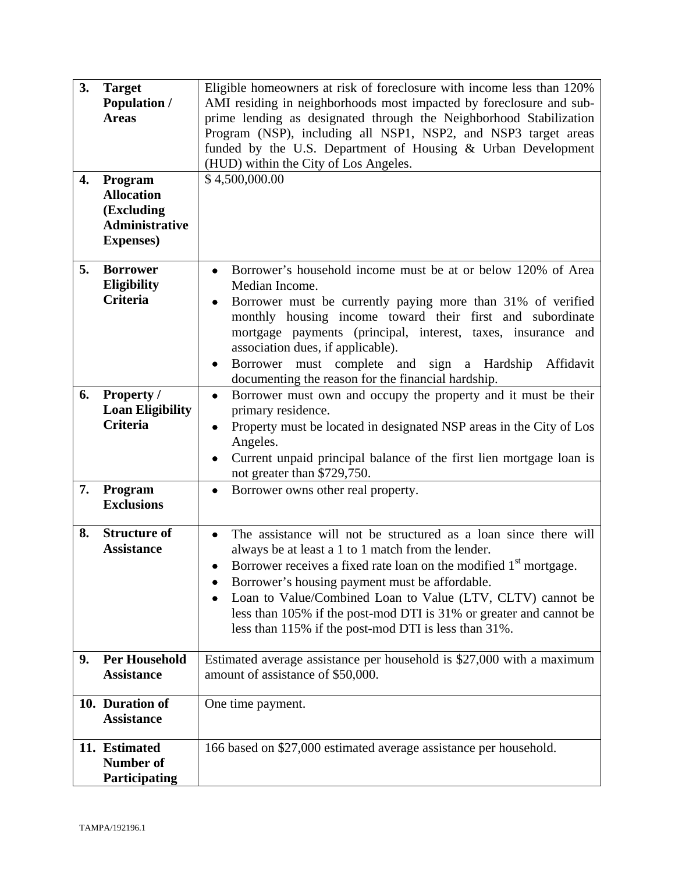| 3.<br>4. | <b>Target</b><br><b>Population /</b><br><b>Areas</b><br>Program<br><b>Allocation</b><br>(Excluding<br><b>Administrative</b><br><b>Expenses</b> ) | Eligible homeowners at risk of foreclosure with income less than 120%<br>AMI residing in neighborhoods most impacted by foreclosure and sub-<br>prime lending as designated through the Neighborhood Stabilization<br>Program (NSP), including all NSP1, NSP2, and NSP3 target areas<br>funded by the U.S. Department of Housing & Urban Development<br>(HUD) within the City of Los Angeles.<br>\$4,500,000.00                                       |
|----------|--------------------------------------------------------------------------------------------------------------------------------------------------|-------------------------------------------------------------------------------------------------------------------------------------------------------------------------------------------------------------------------------------------------------------------------------------------------------------------------------------------------------------------------------------------------------------------------------------------------------|
| 5.       | <b>Borrower</b><br><b>Eligibility</b><br>Criteria                                                                                                | Borrower's household income must be at or below 120% of Area<br>Median Income.<br>Borrower must be currently paying more than 31% of verified<br>monthly housing income toward their first and subordinate<br>mortgage payments (principal, interest, taxes, insurance and<br>association dues, if applicable).<br>Borrower must complete and<br>sign a Hardship<br>Affidavit<br>$\bullet$<br>documenting the reason for the financial hardship.      |
| 6.       | <b>Property /</b><br><b>Loan Eligibility</b><br><b>Criteria</b>                                                                                  | Borrower must own and occupy the property and it must be their<br>$\bullet$<br>primary residence.<br>Property must be located in designated NSP areas in the City of Los<br>$\bullet$<br>Angeles.<br>Current unpaid principal balance of the first lien mortgage loan is<br>not greater than \$729,750.                                                                                                                                               |
| 7.       | Program<br><b>Exclusions</b>                                                                                                                     | Borrower owns other real property.<br>٠                                                                                                                                                                                                                                                                                                                                                                                                               |
| 8.       | <b>Structure of</b><br><b>Assistance</b>                                                                                                         | The assistance will not be structured as a loan since there will<br>always be at least a 1 to 1 match from the lender.<br>Borrower receives a fixed rate loan on the modified 1 <sup>st</sup> mortgage.<br>Borrower's housing payment must be affordable.<br>Loan to Value/Combined Loan to Value (LTV, CLTV) cannot be<br>less than 105% if the post-mod DTI is 31% or greater and cannot be<br>less than 115% if the post-mod DTI is less than 31%. |
| 9.       | <b>Per Household</b><br><b>Assistance</b>                                                                                                        | Estimated average assistance per household is \$27,000 with a maximum<br>amount of assistance of \$50,000.                                                                                                                                                                                                                                                                                                                                            |
|          | 10. Duration of<br><b>Assistance</b>                                                                                                             | One time payment.                                                                                                                                                                                                                                                                                                                                                                                                                                     |
|          | 11. Estimated<br><b>Number of</b><br>Participating                                                                                               | 166 based on \$27,000 estimated average assistance per household.                                                                                                                                                                                                                                                                                                                                                                                     |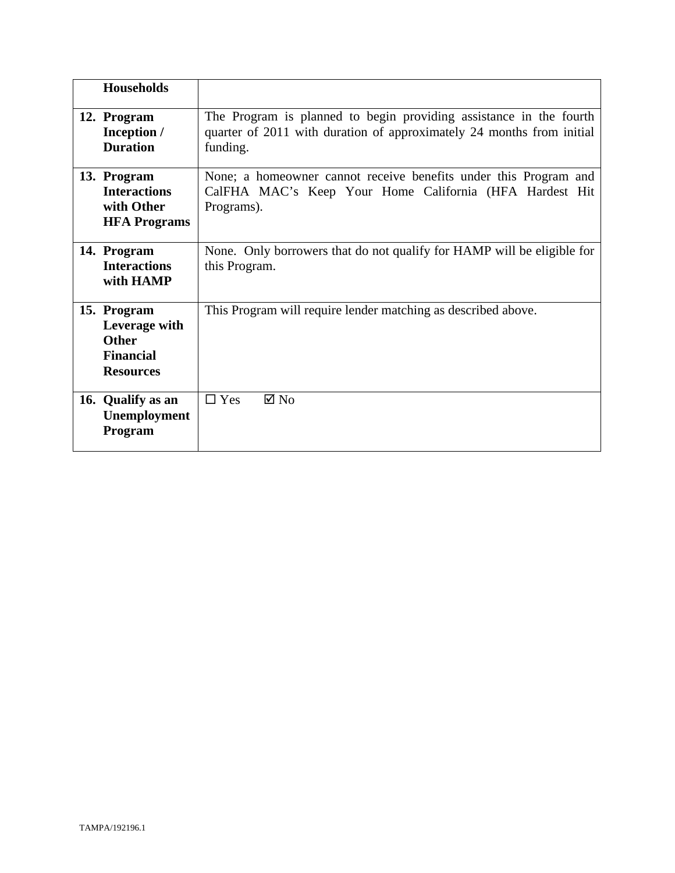| <b>Households</b>                                                                    |                                                                                                                                                         |
|--------------------------------------------------------------------------------------|---------------------------------------------------------------------------------------------------------------------------------------------------------|
|                                                                                      |                                                                                                                                                         |
| 12. Program<br>Inception /<br><b>Duration</b>                                        | The Program is planned to begin providing assistance in the fourth<br>quarter of 2011 with duration of approximately 24 months from initial<br>funding. |
| 13. Program<br><b>Interactions</b><br>with Other<br><b>HFA Programs</b>              | None; a homeowner cannot receive benefits under this Program and<br>CalFHA MAC's Keep Your Home California (HFA Hardest Hit<br>Programs).               |
| 14. Program<br><b>Interactions</b><br>with HAMP                                      | None. Only borrowers that do not qualify for HAMP will be eligible for<br>this Program.                                                                 |
| 15. Program<br>Leverage with<br><b>Other</b><br><b>Financial</b><br><b>Resources</b> | This Program will require lender matching as described above.                                                                                           |
| 16. Qualify as an<br>Unemployment<br>Program                                         | $\Box$ Yes<br>$\boxtimes$ No                                                                                                                            |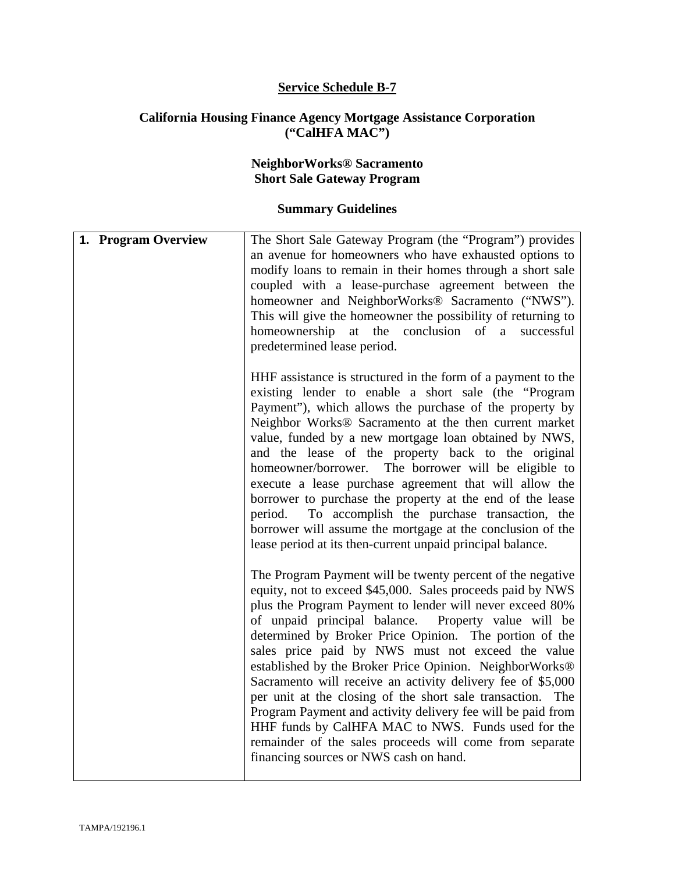#### **Service Schedule B-7**

#### **California Housing Finance Agency Mortgage Assistance Corporation ("CalHFA MAC")**

#### **NeighborWorks® Sacramento Short Sale Gateway Program**

| 1. Program Overview | The Short Sale Gateway Program (the "Program") provides<br>an avenue for homeowners who have exhausted options to<br>modify loans to remain in their homes through a short sale<br>coupled with a lease-purchase agreement between the<br>homeowner and NeighborWorks® Sacramento ("NWS").<br>This will give the homeowner the possibility of returning to<br>homeownership at the conclusion of a successful<br>predetermined lease period.                                                                                                                                                                                                                                                                                                                                 |
|---------------------|------------------------------------------------------------------------------------------------------------------------------------------------------------------------------------------------------------------------------------------------------------------------------------------------------------------------------------------------------------------------------------------------------------------------------------------------------------------------------------------------------------------------------------------------------------------------------------------------------------------------------------------------------------------------------------------------------------------------------------------------------------------------------|
|                     | HHF assistance is structured in the form of a payment to the<br>existing lender to enable a short sale (the "Program"<br>Payment"), which allows the purchase of the property by<br>Neighbor Works® Sacramento at the then current market<br>value, funded by a new mortgage loan obtained by NWS,<br>and the lease of the property back to the original<br>The borrower will be eligible to<br>homeowner/borrower.<br>execute a lease purchase agreement that will allow the<br>borrower to purchase the property at the end of the lease<br>To accomplish the purchase transaction, the<br>period.<br>borrower will assume the mortgage at the conclusion of the<br>lease period at its then-current unpaid principal balance.                                             |
|                     | The Program Payment will be twenty percent of the negative<br>equity, not to exceed \$45,000. Sales proceeds paid by NWS<br>plus the Program Payment to lender will never exceed 80%<br>of unpaid principal balance. Property value will be<br>determined by Broker Price Opinion. The portion of the<br>sales price paid by NWS must not exceed the value<br>established by the Broker Price Opinion. NeighborWorks®<br>Sacramento will receive an activity delivery fee of \$5,000<br>per unit at the closing of the short sale transaction. The<br>Program Payment and activity delivery fee will be paid from<br>HHF funds by CalHFA MAC to NWS. Funds used for the<br>remainder of the sales proceeds will come from separate<br>financing sources or NWS cash on hand. |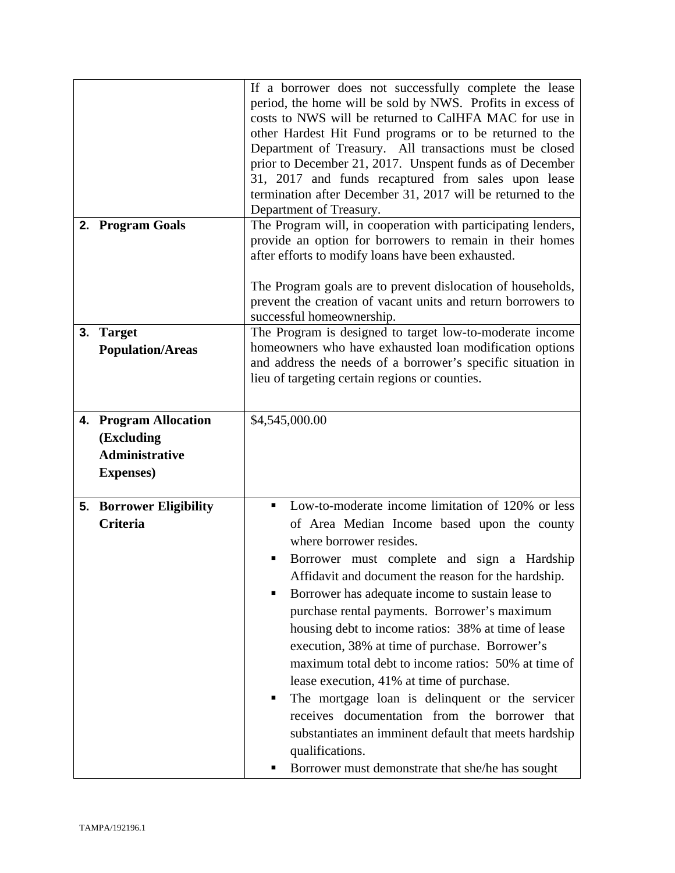|    |                                                                                   | If a borrower does not successfully complete the lease<br>period, the home will be sold by NWS. Profits in excess of<br>costs to NWS will be returned to CalHFA MAC for use in<br>other Hardest Hit Fund programs or to be returned to the<br>Department of Treasury. All transactions must be closed<br>prior to December 21, 2017. Unspent funds as of December<br>31, 2017 and funds recaptured from sales upon lease<br>termination after December 31, 2017 will be returned to the<br>Department of Treasury.                                                                                                                                                                                                                                                                              |
|----|-----------------------------------------------------------------------------------|-------------------------------------------------------------------------------------------------------------------------------------------------------------------------------------------------------------------------------------------------------------------------------------------------------------------------------------------------------------------------------------------------------------------------------------------------------------------------------------------------------------------------------------------------------------------------------------------------------------------------------------------------------------------------------------------------------------------------------------------------------------------------------------------------|
|    | 2. Program Goals                                                                  | The Program will, in cooperation with participating lenders,<br>provide an option for borrowers to remain in their homes<br>after efforts to modify loans have been exhausted.<br>The Program goals are to prevent dislocation of households,<br>prevent the creation of vacant units and return borrowers to                                                                                                                                                                                                                                                                                                                                                                                                                                                                                   |
|    |                                                                                   | successful homeownership.                                                                                                                                                                                                                                                                                                                                                                                                                                                                                                                                                                                                                                                                                                                                                                       |
| 3. | <b>Target</b><br><b>Population/Areas</b>                                          | The Program is designed to target low-to-moderate income<br>homeowners who have exhausted loan modification options<br>and address the needs of a borrower's specific situation in<br>lieu of targeting certain regions or counties.                                                                                                                                                                                                                                                                                                                                                                                                                                                                                                                                                            |
|    | 4. Program Allocation<br>(Excluding<br><b>Administrative</b><br><b>Expenses</b> ) | \$4,545,000.00                                                                                                                                                                                                                                                                                                                                                                                                                                                                                                                                                                                                                                                                                                                                                                                  |
|    | <b>5. Borrower Eligibility</b><br><b>Criteria</b>                                 | Low-to-moderate income limitation of 120% or less<br>٠<br>of Area Median Income based upon the county<br>where borrower resides.<br>Borrower must complete and sign a Hardship<br>Affidavit and document the reason for the hardship.<br>Borrower has adequate income to sustain lease to<br>purchase rental payments. Borrower's maximum<br>housing debt to income ratios: 38% at time of lease<br>execution, 38% at time of purchase. Borrower's<br>maximum total debt to income ratios: 50% at time of<br>lease execution, 41% at time of purchase.<br>The mortgage loan is delinquent or the servicer<br>п<br>receives documentation from the borrower that<br>substantiates an imminent default that meets hardship<br>qualifications.<br>Borrower must demonstrate that she/he has sought |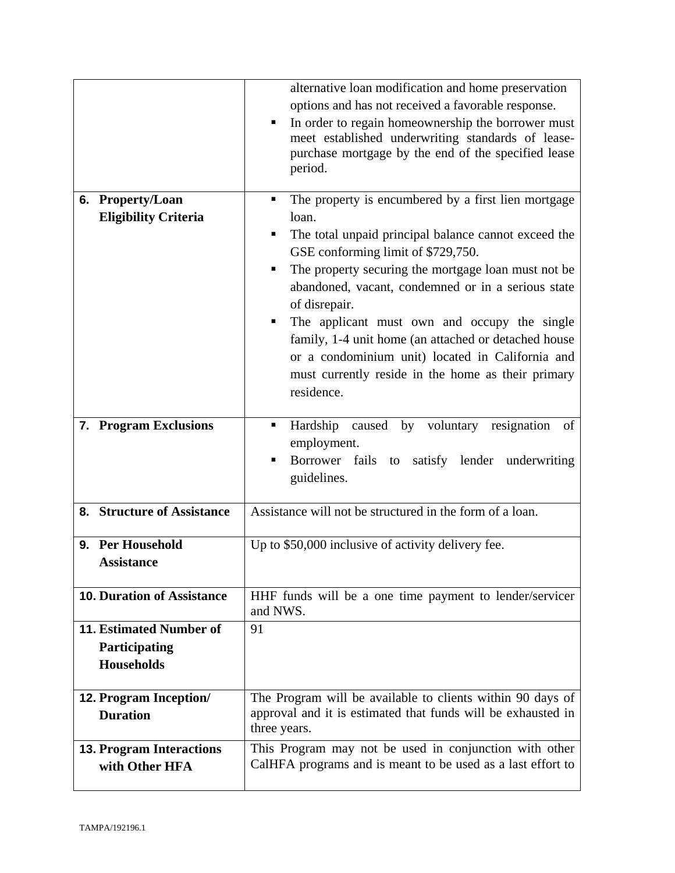|                                                                             | alternative loan modification and home preservation<br>options and has not received a favorable response.<br>In order to regain homeownership the borrower must<br>٠<br>meet established underwriting standards of lease-<br>purchase mortgage by the end of the specified lease<br>period.                                                                                                                                                                                                                                        |
|-----------------------------------------------------------------------------|------------------------------------------------------------------------------------------------------------------------------------------------------------------------------------------------------------------------------------------------------------------------------------------------------------------------------------------------------------------------------------------------------------------------------------------------------------------------------------------------------------------------------------|
| 6. Property/Loan<br><b>Eligibility Criteria</b>                             | The property is encumbered by a first lien mortgage<br>٠<br>loan.<br>The total unpaid principal balance cannot exceed the<br>GSE conforming limit of \$729,750.<br>The property securing the mortgage loan must not be<br>abandoned, vacant, condemned or in a serious state<br>of disrepair.<br>The applicant must own and occupy the single<br>٠<br>family, 1-4 unit home (an attached or detached house<br>or a condominium unit) located in California and<br>must currently reside in the home as their primary<br>residence. |
| 7. Program Exclusions                                                       | Hardship caused by voluntary resignation of<br>٠<br>employment.<br>Borrower fails to satisfy lender underwriting<br>guidelines.                                                                                                                                                                                                                                                                                                                                                                                                    |
| 8. Structure of Assistance                                                  | Assistance will not be structured in the form of a loan.                                                                                                                                                                                                                                                                                                                                                                                                                                                                           |
| 9. Per Household<br><b>Assistance</b>                                       | Up to \$50,000 inclusive of activity delivery fee.                                                                                                                                                                                                                                                                                                                                                                                                                                                                                 |
| <b>10. Duration of Assistance</b>                                           | HHF funds will be a one time payment to lender/servicer<br>and NWS.                                                                                                                                                                                                                                                                                                                                                                                                                                                                |
| <b>11. Estimated Number of</b><br><b>Participating</b><br><b>Households</b> | 91                                                                                                                                                                                                                                                                                                                                                                                                                                                                                                                                 |
| <b>12. Program Inception/</b><br><b>Duration</b>                            | The Program will be available to clients within 90 days of<br>approval and it is estimated that funds will be exhausted in<br>three years.                                                                                                                                                                                                                                                                                                                                                                                         |
| <b>13. Program Interactions</b><br>with Other HFA                           | This Program may not be used in conjunction with other<br>CalHFA programs and is meant to be used as a last effort to                                                                                                                                                                                                                                                                                                                                                                                                              |